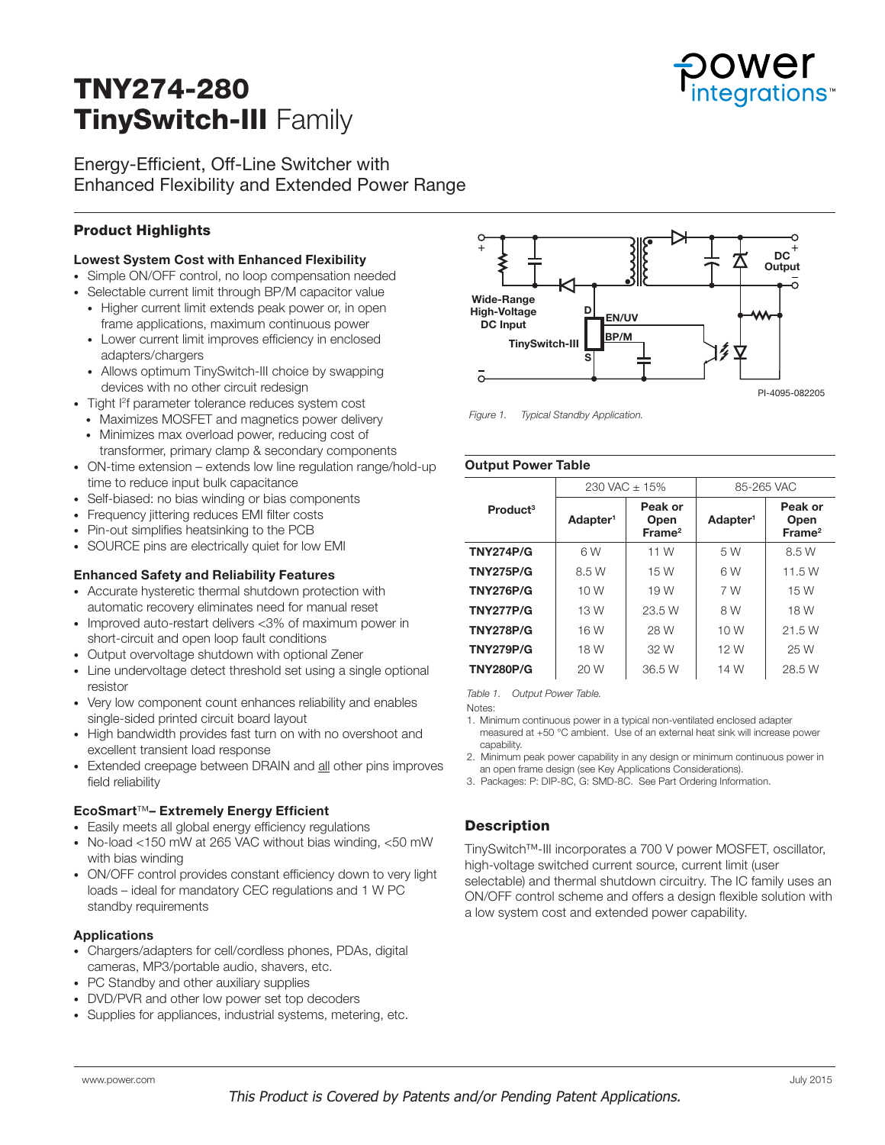# TNY274-280 TinySwitch-III Family

Energy-Efficient, Off-Line Switcher with Enhanced Flexibility and Extended Power Range

# Product Highlights

## Lowest System Cost with Enhanced Flexibility

- Simple ON/OFF control, no loop compensation needed
- Selectable current limit through BP/M capacitor value
- Higher current limit extends peak power or, in open frame applications, maximum continuous power
- Lower current limit improves efficiency in enclosed adapters/chargers
- Allows optimum TinySwitch-III choice by swapping devices with no other circuit redesign
- Tight I2 f parameter tolerance reduces system cost
- Maximizes MOSFET and magnetics power delivery
- Minimizes max overload power, reducing cost of transformer, primary clamp & secondary components
- ON-time extension extends low line regulation range/hold-up time to reduce input bulk capacitance
- Self-biased: no bias winding or bias components
- Frequency jittering reduces EMI filter costs
- Pin-out simplifies heatsinking to the PCB
- SOURCE pins are electrically quiet for low EMI

#### Enhanced Safety and Reliability Features

- Accurate hysteretic thermal shutdown protection with automatic recovery eliminates need for manual reset
- Improved auto-restart delivers <3% of maximum power in short-circuit and open loop fault conditions
- Output overvoltage shutdown with optional Zener
- Line undervoltage detect threshold set using a single optional resistor
- Very low component count enhances reliability and enables single-sided printed circuit board layout
- High bandwidth provides fast turn on with no overshoot and excellent transient load response
- Extended creepage between DRAIN and all other pins improves field reliability

## EcoSmart™– Extremely Energy Efficient

- Easily meets all global energy efficiency regulations
- No-load <150 mW at 265 VAC without bias winding, <50 mW with bias winding
- ON/OFF control provides constant efficiency down to very light loads – ideal for mandatory CEC regulations and 1 W PC standby requirements

#### Applications

- Chargers/adapters for cell/cordless phones, PDAs, digital cameras, MP3/portable audio, shavers, etc.
- PC Standby and other auxiliary supplies
- DVD/PVR and other low power set top decoders
- Supplies for appliances, industrial systems, metering, etc.



*Figure 1. Typical Standby Application.* 

#### Output Power Table

| Product <sup>3</sup> |                      | $230$ VAC $\pm$ 15%                   | 85-265 VAC           |                                       |  |
|----------------------|----------------------|---------------------------------------|----------------------|---------------------------------------|--|
|                      | Adapter <sup>1</sup> | Peak or<br>Open<br>Frame <sup>2</sup> | Adapter <sup>1</sup> | Peak or<br>Open<br>Frame <sup>2</sup> |  |
| <b>TNY274P/G</b>     | 6W                   | 11 W                                  | 5 W                  | 8.5 W                                 |  |
| <b>TNY275P/G</b>     | 8.5 W                | 15 W                                  | 6W                   | 11.5 W                                |  |
| <b>TNY276P/G</b>     | 10 W                 | 19 W                                  | 7 W                  | 15 W                                  |  |
| <b>TNY277P/G</b>     | 13 W                 | 23.5 W                                | 8 W                  | 18 W                                  |  |
| <b>TNY278P/G</b>     | 16 W                 | 28 W                                  | 10 W                 | 21.5 W                                |  |
| <b>TNY279P/G</b>     | 18 W                 | 32 W                                  | 12 W                 | 25 W                                  |  |
| <b>TNY280P/G</b>     | 20 W                 | 36.5 W                                | 14 W                 | 28.5 W                                |  |

*Table 1. Output Power Table.* 

Notes:

1. Minimum continuous power in a typical non-ventilated enclosed adapter measured at +50 °C ambient. Use of an external heat sink will increase power capability.

2. Minimum peak power capability in any design or minimum continuous power in an open frame design (see Key Applications Considerations).

3. Packages: P: DIP-8C, G: SMD-8C. See Part Ordering Information.

## **Description**

TinySwitch™-III incorporates a 700 V power MOSFET, oscillator, high-voltage switched current source, current limit (user selectable) and thermal shutdown circuitry. The IC family uses an ON/OFF control scheme and offers a design flexible solution with a low system cost and extended power capability.

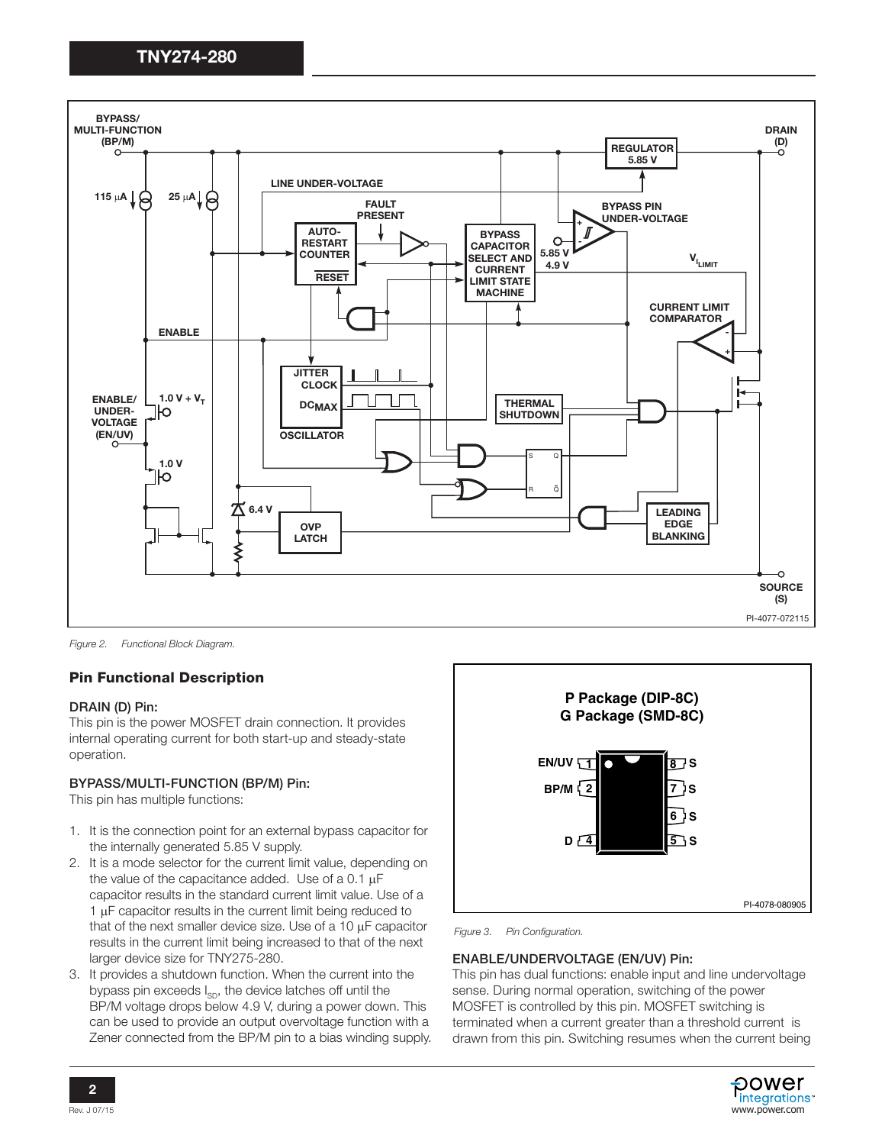

*Figure 2. Functional Block Diagram.* 

# Pin Functional Description

#### DRAIN (D) Pin:

This pin is the power MOSFET drain connection. It provides internal operating current for both start-up and steady-state operation.

#### BYPASS/MULTI-FUNCTION (BP/M) Pin:

This pin has multiple functions:

- 1. It is the connection point for an external bypass capacitor for the internally generated 5.85 V supply.
- 2. It is a mode selector for the current limit value, depending on the value of the capacitance added. Use of a 0.1  $\mu$ F capacitor results in the standard current limit value. Use of a  $1 \mu$ F capacitor results in the current limit being reduced to that of the next smaller device size. Use of a 10  $\mu$ F capacitor results in the current limit being increased to that of the next larger device size for TNY275-280.
- 3. It provides a shutdown function. When the current into the bypass pin exceeds  $I_{SD}$ , the device latches off until the BP/M voltage drops below 4.9 V, during a power down. This can be used to provide an output overvoltage function with a Zener connected from the BP/M pin to a bias winding supply.



*Figure 3. Pin Configuration.* 

#### ENABLE/UNDERVOLTAGE (EN/UV) Pin:

This pin has dual functions: enable input and line undervoltage sense. During normal operation, switching of the power MOSFET is controlled by this pin. MOSFET switching is terminated when a current greater than a threshold current is drawn from this pin. Switching resumes when the current being

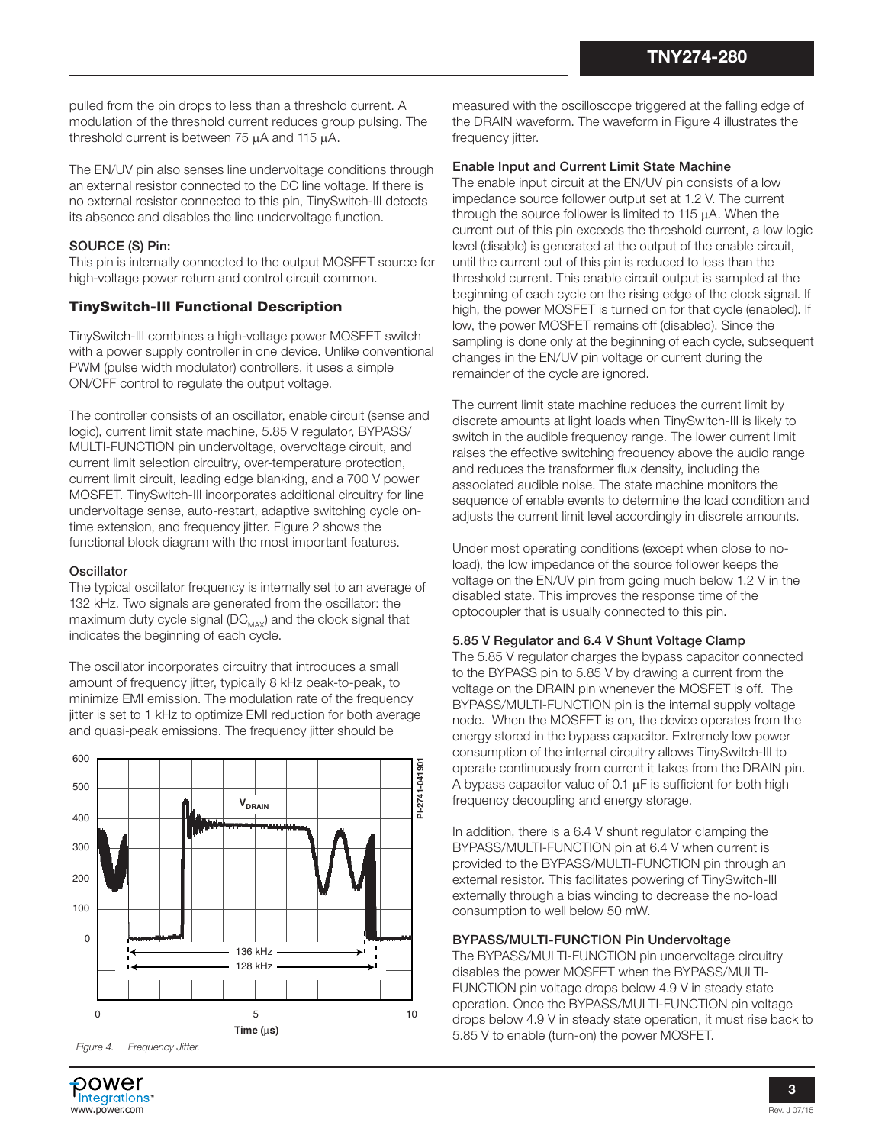pulled from the pin drops to less than a threshold current. A modulation of the threshold current reduces group pulsing. The threshold current is between  $75 \mu A$  and  $115 \mu A$ .

The EN/UV pin also senses line undervoltage conditions through an external resistor connected to the DC line voltage. If there is no external resistor connected to this pin, TinySwitch-III detects its absence and disables the line undervoltage function.

## SOURCE (S) Pin:

This pin is internally connected to the output MOSFET source for high-voltage power return and control circuit common.

## TinySwitch-III Functional Description

TinySwitch-III combines a high-voltage power MOSFET switch with a power supply controller in one device. Unlike conventional PWM (pulse width modulator) controllers, it uses a simple ON/OFF control to regulate the output voltage.

The controller consists of an oscillator, enable circuit (sense and logic), current limit state machine, 5.85 V regulator, BYPASS/ MULTI-FUNCTION pin undervoltage, overvoltage circuit, and current limit selection circuitry, over-temperature protection, current limit circuit, leading edge blanking, and a 700 V power MOSFET. TinySwitch-III incorporates additional circuitry for line undervoltage sense, auto-restart, adaptive switching cycle ontime extension, and frequency jitter. Figure 2 shows the functional block diagram with the most important features.

#### **Oscillator**

The typical oscillator frequency is internally set to an average of 132 kHz. Two signals are generated from the oscillator: the maximum duty cycle signal ( $DC_{MAX}$ ) and the clock signal that indicates the beginning of each cycle.

The oscillator incorporates circuitry that introduces a small amount of frequency jitter, typically 8 kHz peak-to-peak, to minimize EMI emission. The modulation rate of the frequency jitter is set to 1 kHz to optimize EMI reduction for both average and quasi-peak emissions. The frequency jitter should be



measured with the oscilloscope triggered at the falling edge of the DRAIN waveform. The waveform in Figure 4 illustrates the frequency jitter.

## Enable Input and Current Limit State Machine

The enable input circuit at the EN/UV pin consists of a low impedance source follower output set at 1.2 V. The current through the source follower is limited to 115  $\mu$ A. When the current out of this pin exceeds the threshold current, a low logic level (disable) is generated at the output of the enable circuit, until the current out of this pin is reduced to less than the threshold current. This enable circuit output is sampled at the beginning of each cycle on the rising edge of the clock signal. If high, the power MOSFET is turned on for that cycle (enabled). If low, the power MOSFET remains off (disabled). Since the sampling is done only at the beginning of each cycle, subsequent changes in the EN/UV pin voltage or current during the remainder of the cycle are ignored.

The current limit state machine reduces the current limit by discrete amounts at light loads when TinySwitch-III is likely to switch in the audible frequency range. The lower current limit raises the effective switching frequency above the audio range and reduces the transformer flux density, including the associated audible noise. The state machine monitors the sequence of enable events to determine the load condition and adjusts the current limit level accordingly in discrete amounts.

Under most operating conditions (except when close to noload), the low impedance of the source follower keeps the voltage on the EN/UV pin from going much below 1.2 V in the disabled state. This improves the response time of the optocoupler that is usually connected to this pin.

#### 5.85 V Regulator and 6.4 V Shunt Voltage Clamp

The 5.85 V regulator charges the bypass capacitor connected to the BYPASS pin to 5.85 V by drawing a current from the voltage on the DRAIN pin whenever the MOSFET is off. The BYPASS/MULTI-FUNCTION pin is the internal supply voltage node. When the MOSFET is on, the device operates from the energy stored in the bypass capacitor. Extremely low power consumption of the internal circuitry allows TinySwitch-III to operate continuously from current it takes from the DRAIN pin. A bypass capacitor value of 0.1  $\mu$ F is sufficient for both high frequency decoupling and energy storage.

In addition, there is a 6.4 V shunt regulator clamping the BYPASS/MULTI-FUNCTION pin at 6.4 V when current is provided to the BYPASS/MULTI-FUNCTION pin through an external resistor. This facilitates powering of TinySwitch-III externally through a bias winding to decrease the no-load consumption to well below 50 mW.

## BYPASS/MULTI-FUNCTION Pin Undervoltage

The BYPASS/MULTI-FUNCTION pin undervoltage circuitry disables the power MOSFET when the BYPASS/MULTI-FUNCTION pin voltage drops below 4.9 V in steady state operation. Once the BYPASS/MULTI-FUNCTION pin voltage drops below 4.9 V in steady state operation, it must rise back to 5.85 V to enable (turn-on) the power MOSFET.

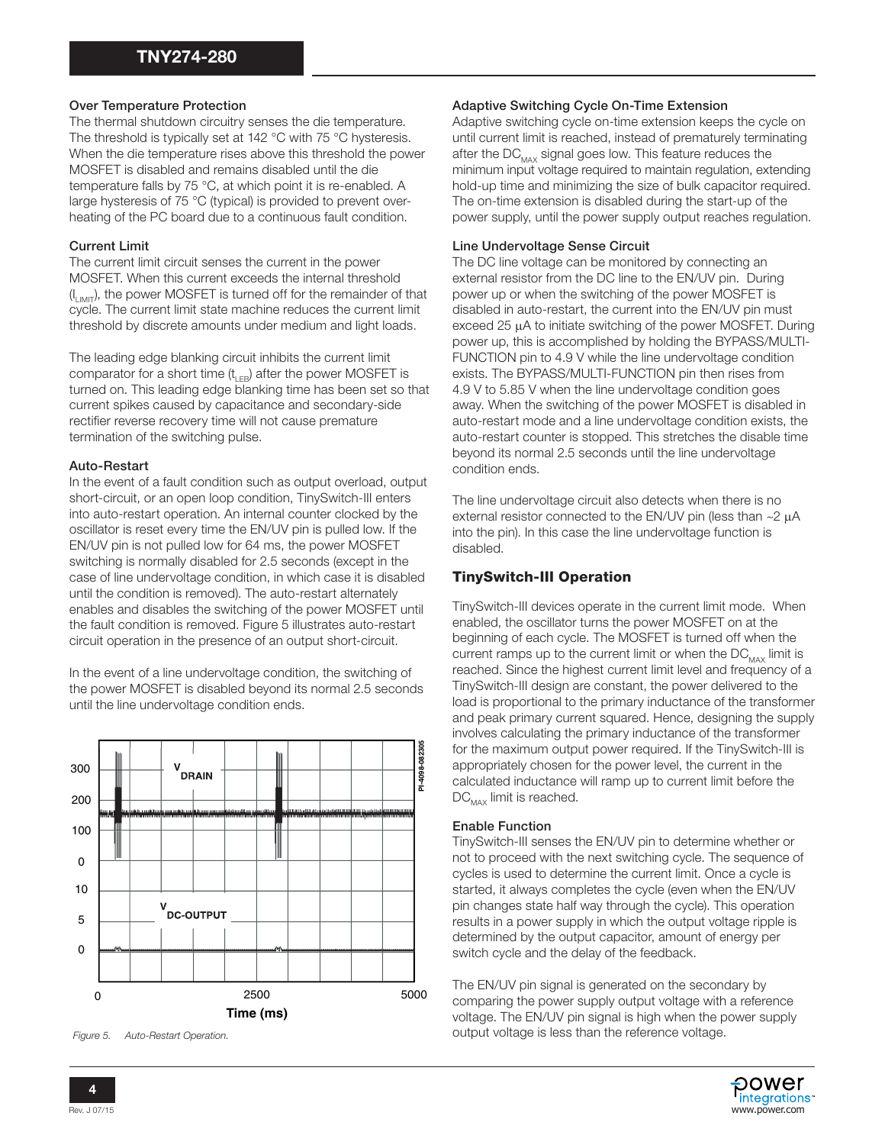## Over Temperature Protection

The thermal shutdown circuitry senses the die temperature. The threshold is typically set at 142 °C with 75 °C hysteresis. When the die temperature rises above this threshold the power MOSFET is disabled and remains disabled until the die temperature falls by 75 °C, at which point it is re-enabled. A large hysteresis of 75 °C (typical) is provided to prevent overheating of the PC board due to a continuous fault condition.

## Current Limit

The current limit circuit senses the current in the power MOSFET. When this current exceeds the internal threshold  $(I_{LIMIT})$ , the power MOSFET is turned off for the remainder of that cycle. The current limit state machine reduces the current limit threshold by discrete amounts under medium and light loads.

The leading edge blanking circuit inhibits the current limit comparator for a short time  $(t_{LEB})$  after the power MOSFET is turned on. This leading edge blanking time has been set so that current spikes caused by capacitance and secondary-side rectifier reverse recovery time will not cause premature termination of the switching pulse.

## Auto-Restart

In the event of a fault condition such as output overload, output short-circuit, or an open loop condition, TinySwitch-III enters into auto-restart operation. An internal counter clocked by the oscillator is reset every time the EN/UV pin is pulled low. If the EN/UV pin is not pulled low for 64 ms, the power MOSFET switching is normally disabled for 2.5 seconds (except in the case of line undervoltage condition, in which case it is disabled until the condition is removed). The auto-restart alternately enables and disables the switching of the power MOSFET until the fault condition is removed. Figure 5 illustrates auto-restart circuit operation in the presence of an output short-circuit.

In the event of a line undervoltage condition, the switching of the power MOSFET is disabled beyond its normal 2.5 seconds until the line undervoltage condition ends.



#### Adaptive Switching Cycle On-Time Extension

Adaptive switching cycle on-time extension keeps the cycle on until current limit is reached, instead of prematurely terminating after the  $DC_{MAX}$  signal goes low. This feature reduces the minimum input voltage required to maintain regulation, extending hold-up time and minimizing the size of bulk capacitor required. The on-time extension is disabled during the start-up of the power supply, until the power supply output reaches regulation.

## Line Undervoltage Sense Circuit

The DC line voltage can be monitored by connecting an external resistor from the DC line to the EN/UV pin. During power up or when the switching of the power MOSFET is disabled in auto-restart, the current into the EN/UV pin must exceed 25  $\mu$ A to initiate switching of the power MOSFET. During power up, this is accomplished by holding the BYPASS/MULTI-FUNCTION pin to 4.9 V while the line undervoltage condition exists. The BYPASS/MULTI-FUNCTION pin then rises from 4.9 V to 5.85 V when the line undervoltage condition goes away. When the switching of the power MOSFET is disabled in auto-restart mode and a line undervoltage condition exists, the auto-restart counter is stopped. This stretches the disable time beyond its normal 2.5 seconds until the line undervoltage condition ends.

The line undervoltage circuit also detects when there is no external resistor connected to the EN/UV pin (less than  $\sim$ 2  $\mu$ A into the pin). In this case the line undervoltage function is disabled.

# TinySwitch-III Operation

TinySwitch-III devices operate in the current limit mode. When enabled, the oscillator turns the power MOSFET on at the beginning of each cycle. The MOSFET is turned off when the current ramps up to the current limit or when the  $DC_{\text{max}}$  limit is reached. Since the highest current limit level and frequency of a TinySwitch-III design are constant, the power delivered to the load is proportional to the primary inductance of the transformer and peak primary current squared. Hence, designing the supply involves calculating the primary inductance of the transformer for the maximum output power required. If the TinySwitch-III is appropriately chosen for the power level, the current in the calculated inductance will ramp up to current limit before the  $DC_{MAX}$  limit is reached.

#### Enable Function

TinySwitch-III senses the EN/UV pin to determine whether or not to proceed with the next switching cycle. The sequence of cycles is used to determine the current limit. Once a cycle is started, it always completes the cycle (even when the EN/UV pin changes state half way through the cycle). This operation results in a power supply in which the output voltage ripple is determined by the output capacitor, amount of energy per switch cycle and the delay of the feedback.

The EN/UV pin signal is generated on the secondary by comparing the power supply output voltage with a reference voltage. The EN/UV pin signal is high when the power supply

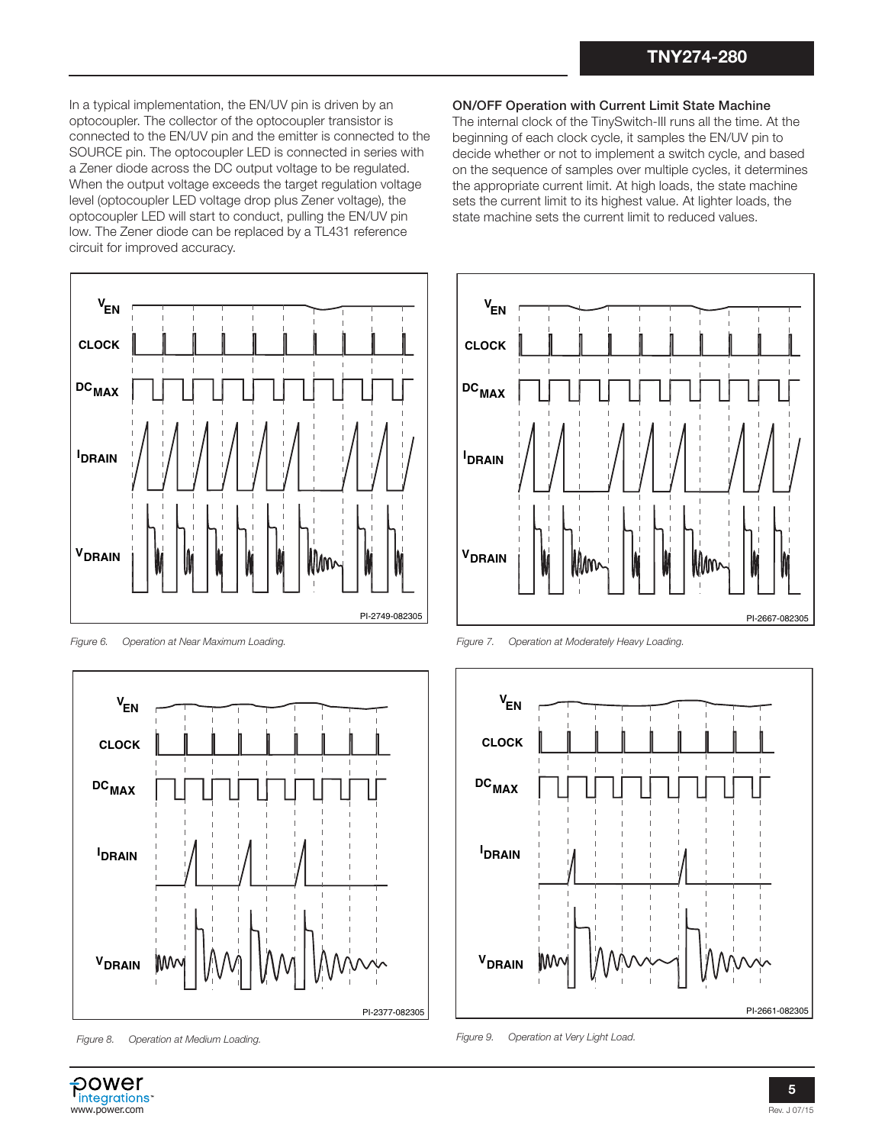In a typical implementation, the EN/UV pin is driven by an optocoupler. The collector of the optocoupler transistor is connected to the EN/UV pin and the emitter is connected to the SOURCE pin. The optocoupler LED is connected in series with a Zener diode across the DC output voltage to be regulated. When the output voltage exceeds the target regulation voltage level (optocoupler LED voltage drop plus Zener voltage), the optocoupler LED will start to conduct, pulling the EN/UV pin low. The Zener diode can be replaced by a TL431 reference circuit for improved accuracy.



*Figure 6. Operation at Near Maximum Loading.*



*Figure 8. Operation at Medium Loading.*

#### ON/OFF Operation with Current Limit State Machine

The internal clock of the TinySwitch-III runs all the time. At the beginning of each clock cycle, it samples the EN/UV pin to decide whether or not to implement a switch cycle, and based on the sequence of samples over multiple cycles, it determines the appropriate current limit. At high loads, the state machine sets the current limit to its highest value. At lighter loads, the state machine sets the current limit to reduced values.



*Figure 7. Operation at Moderately Heavy Loading.*



*Figure 9. Operation at Very Light Load.*

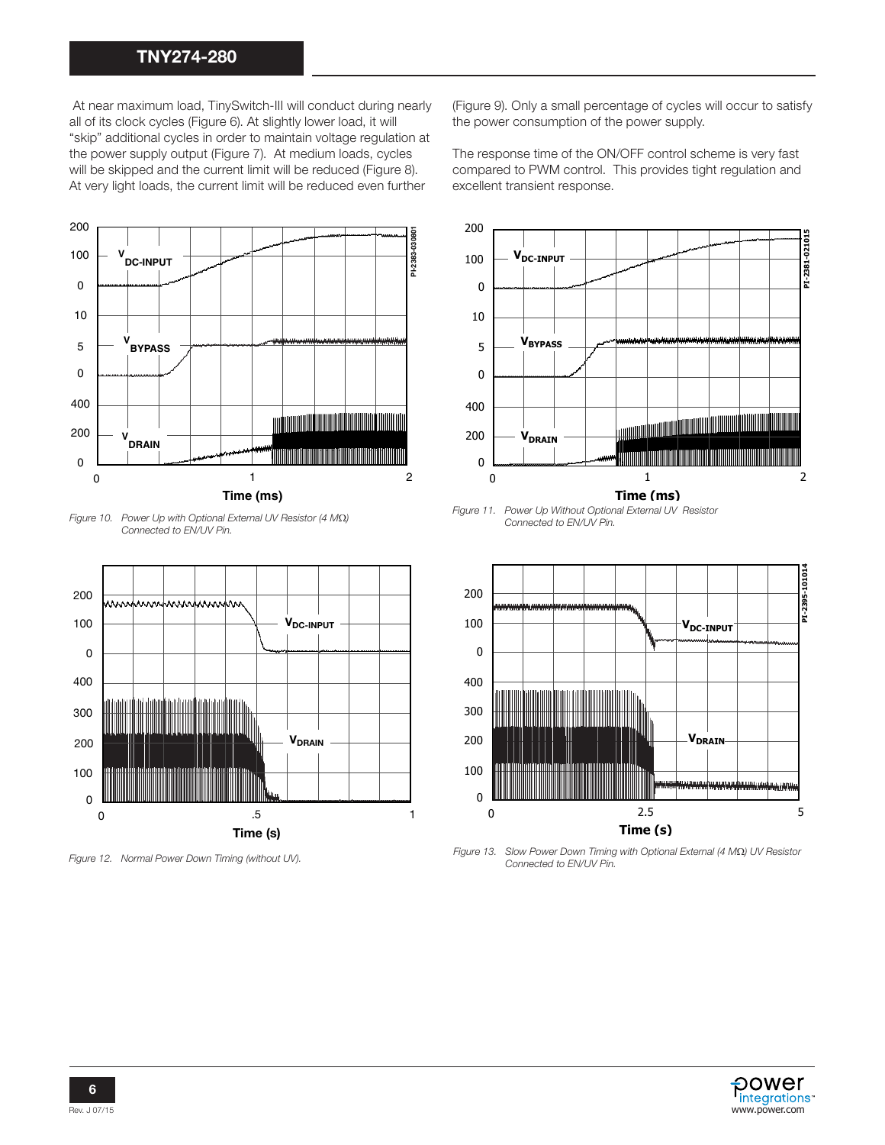# TNY274-280

 At near maximum load, TinySwitch-III will conduct during nearly all of its clock cycles (Figure 6). At slightly lower load, it will "skip" additional cycles in order to maintain voltage regulation at the power supply output (Figure 7). At medium loads, cycles will be skipped and the current limit will be reduced (Figure 8). At very light loads, the current limit will be reduced even further



*Figure 10. Power Up with Optional External UV Resistor (4 MQ) Connected to EN/UV Pin.*



(Figure 9). Only a small percentage of cycles will occur to satisfy the power consumption of the power supply.

The response time of the ON/OFF control scheme is very fast compared to PWM control. This provides tight regulation and excellent transient response.



*Figure 11. Power Up Without Optional External UV Resistor Connected to EN/UV Pin.*



*Figure 12. Normal Power Down Timing (without UV). Figure 13. Slow Power Down Timing with Optional External (4 MΩ) UV Resistor**Figure 12. Normal Power Down Timing (without UV). Connected to EN/UV Pin.*

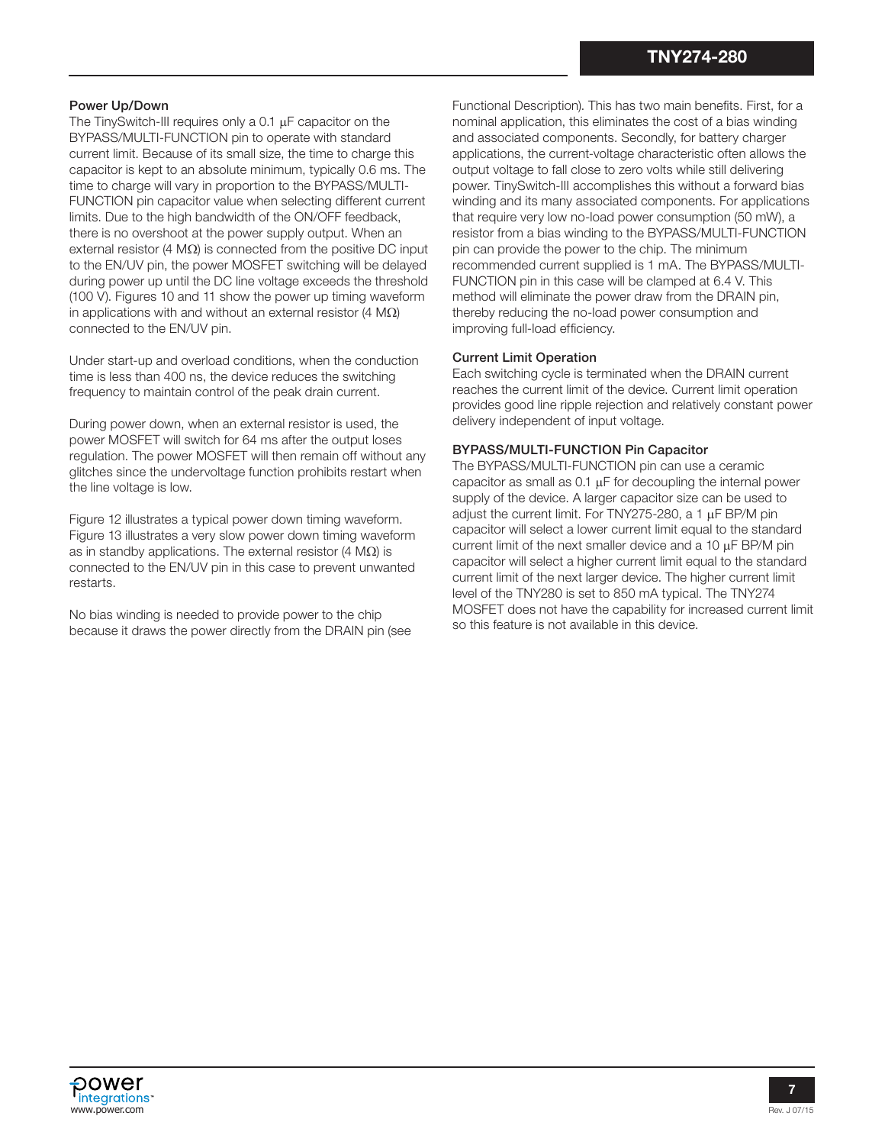## Power Up/Down

The TinySwitch-III requires only a  $0.1 \mu$ F capacitor on the BYPASS/MULTI-FUNCTION pin to operate with standard current limit. Because of its small size, the time to charge this capacitor is kept to an absolute minimum, typically 0.6 ms. The time to charge will vary in proportion to the BYPASS/MULTI-FUNCTION pin capacitor value when selecting different current limits. Due to the high bandwidth of the ON/OFF feedback, there is no overshoot at the power supply output. When an external resistor (4  $\text{M}\Omega$ ) is connected from the positive DC input to the EN/UV pin, the power MOSFET switching will be delayed during power up until the DC line voltage exceeds the threshold (100 V). Figures 10 and 11 show the power up timing waveform in applications with and without an external resistor  $(4 \text{ M}\Omega)$ connected to the EN/UV pin.

Under start-up and overload conditions, when the conduction time is less than 400 ns, the device reduces the switching frequency to maintain control of the peak drain current.

During power down, when an external resistor is used, the power MOSFET will switch for 64 ms after the output loses regulation. The power MOSFET will then remain off without any glitches since the undervoltage function prohibits restart when the line voltage is low.

Figure 12 illustrates a typical power down timing waveform. Figure 13 illustrates a very slow power down timing waveform as in standby applications. The external resistor (4  $\text{M}\Omega$ ) is connected to the EN/UV pin in this case to prevent unwanted restarts.

No bias winding is needed to provide power to the chip because it draws the power directly from the DRAIN pin (see Functional Description). This has two main benefits. First, for a nominal application, this eliminates the cost of a bias winding and associated components. Secondly, for battery charger applications, the current-voltage characteristic often allows the output voltage to fall close to zero volts while still delivering power. TinySwitch-III accomplishes this without a forward bias winding and its many associated components. For applications that require very low no-load power consumption (50 mW), a resistor from a bias winding to the BYPASS/MULTI-FUNCTION pin can provide the power to the chip. The minimum recommended current supplied is 1 mA. The BYPASS/MULTI-FUNCTION pin in this case will be clamped at 6.4 V. This method will eliminate the power draw from the DRAIN pin, thereby reducing the no-load power consumption and improving full-load efficiency.

#### Current Limit Operation

Each switching cycle is terminated when the DRAIN current reaches the current limit of the device. Current limit operation provides good line ripple rejection and relatively constant power delivery independent of input voltage.

#### BYPASS/MULTI-FUNCTION Pin Capacitor

The BYPASS/MULTI-FUNCTION pin can use a ceramic capacitor as small as  $0.1 \mu$ F for decoupling the internal power supply of the device. A larger capacitor size can be used to adjust the current limit. For TNY275-280, a 1  $\mu$ F BP/M pin capacitor will select a lower current limit equal to the standard current limit of the next smaller device and a  $10 \mu$ F BP/M pin capacitor will select a higher current limit equal to the standard current limit of the next larger device. The higher current limit level of the TNY280 is set to 850 mA typical. The TNY274 MOSFET does not have the capability for increased current limit so this feature is not available in this device.

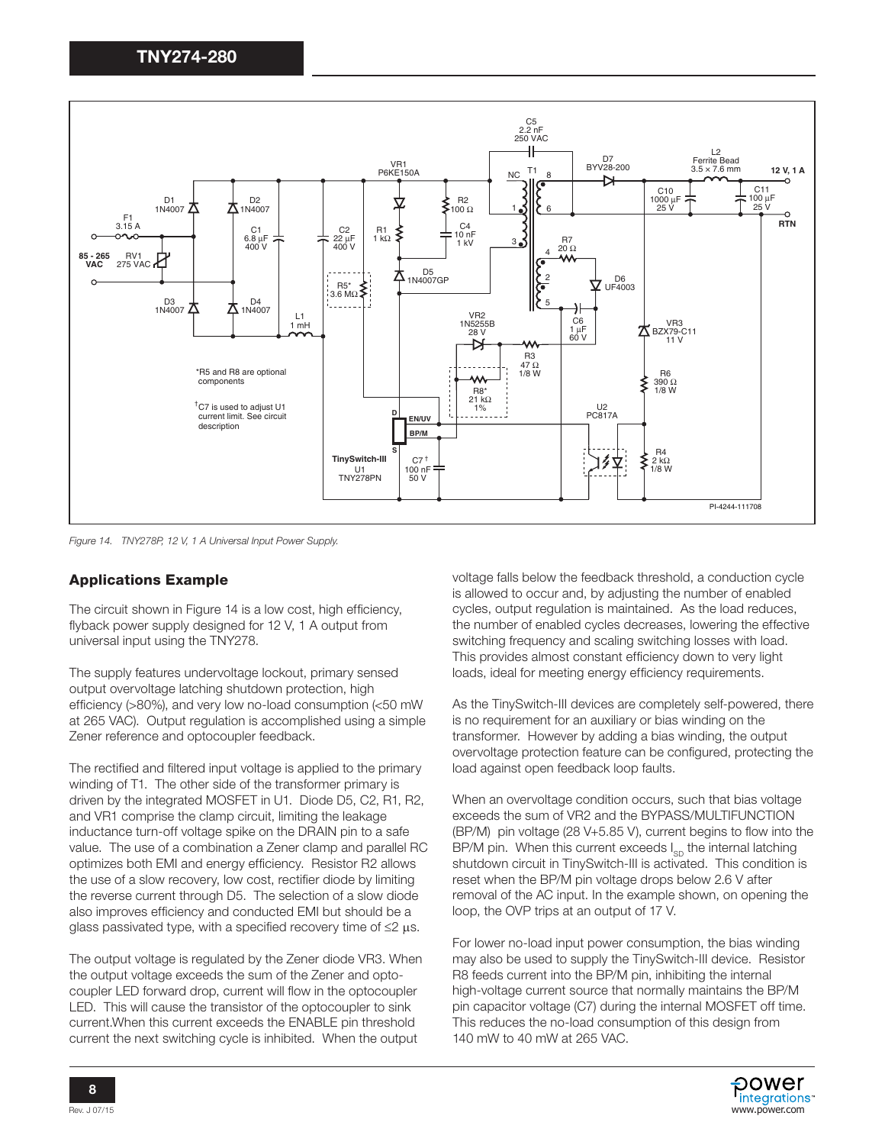

*Figure 14. TNY278P, 12 V, 1 A Universal Input Power Supply.*

## Applications Example

The circuit shown in Figure 14 is a low cost, high efficiency, flyback power supply designed for 12 V, 1 A output from universal input using the TNY278.

The supply features undervoltage lockout, primary sensed output overvoltage latching shutdown protection, high efficiency (>80%), and very low no-load consumption (<50 mW at 265 VAC). Output regulation is accomplished using a simple Zener reference and optocoupler feedback.

The rectified and filtered input voltage is applied to the primary winding of T1. The other side of the transformer primary is driven by the integrated MOSFET in U1. Diode D5, C2, R1, R2, and VR1 comprise the clamp circuit, limiting the leakage inductance turn-off voltage spike on the DRAIN pin to a safe value. The use of a combination a Zener clamp and parallel RC optimizes both EMI and energy efficiency. Resistor R2 allows the use of a slow recovery, low cost, rectifier diode by limiting the reverse current through D5. The selection of a slow diode also improves efficiency and conducted EMI but should be a glass passivated type, with a specified recovery time of  $\leq 2 \mu s$ .

The output voltage is regulated by the Zener diode VR3. When the output voltage exceeds the sum of the Zener and optocoupler LED forward drop, current will flow in the optocoupler LED. This will cause the transistor of the optocoupler to sink current.When this current exceeds the ENABLE pin threshold current the next switching cycle is inhibited. When the output

voltage falls below the feedback threshold, a conduction cycle is allowed to occur and, by adjusting the number of enabled cycles, output regulation is maintained. As the load reduces, the number of enabled cycles decreases, lowering the effective switching frequency and scaling switching losses with load. This provides almost constant efficiency down to very light loads, ideal for meeting energy efficiency requirements.

As the TinySwitch-III devices are completely self-powered, there is no requirement for an auxiliary or bias winding on the transformer. However by adding a bias winding, the output overvoltage protection feature can be configured, protecting the load against open feedback loop faults.

When an overvoltage condition occurs, such that bias voltage exceeds the sum of VR2 and the BYPASS/MULTIFUNCTION (BP/M) pin voltage (28 V+5.85 V), current begins to flow into the BP/M pin. When this current exceeds  $I_{SD}$  the internal latching shutdown circuit in TinySwitch-III is activated. This condition is reset when the BP/M pin voltage drops below 2.6 V after removal of the AC input. In the example shown, on opening the loop, the OVP trips at an output of 17 V.

For lower no-load input power consumption, the bias winding may also be used to supply the TinySwitch-III device. Resistor R8 feeds current into the BP/M pin, inhibiting the internal high-voltage current source that normally maintains the BP/M pin capacitor voltage (C7) during the internal MOSFET off time. This reduces the no-load consumption of this design from 140 mW to 40 mW at 265 VAC.

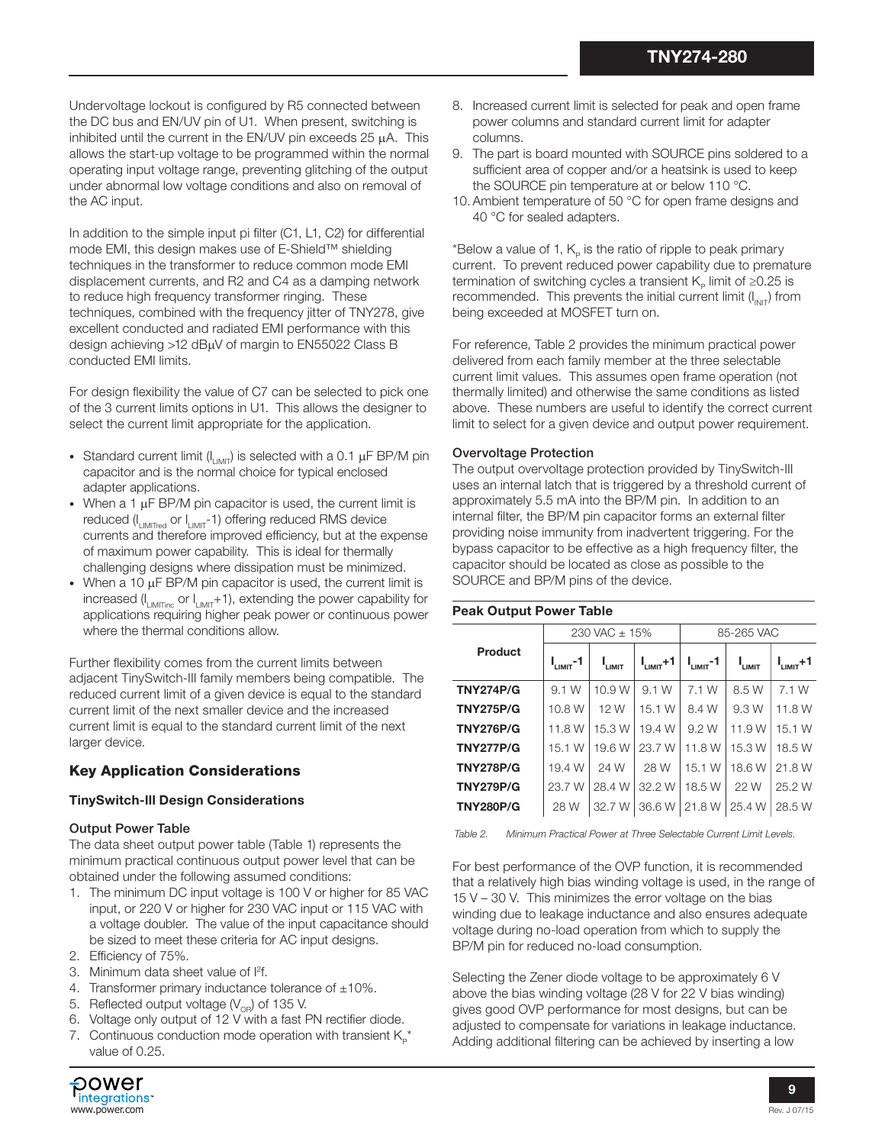Undervoltage lockout is configured by R5 connected between the DC bus and EN/UV pin of U1. When present, switching is inhibited until the current in the EN/UV pin exceeds 25 µA. This allows the start-up voltage to be programmed within the normal operating input voltage range, preventing glitching of the output under abnormal low voltage conditions and also on removal of the AC input.

In addition to the simple input pi filter (C1, L1, C2) for differential mode EMI, this design makes use of E-Shield™ shielding techniques in the transformer to reduce common mode EMI displacement currents, and R2 and C4 as a damping network to reduce high frequency transformer ringing. These techniques, combined with the frequency jitter of TNY278, give excellent conducted and radiated EMI performance with this design achieving >12 dBµV of margin to EN55022 Class B conducted EMI limits.

For design flexibility the value of C7 can be selected to pick one of the 3 current limits options in U1. This allows the designer to select the current limit appropriate for the application.

- Standard current limit ( $I_{LIMIT}$ ) is selected with a 0.1  $\mu$ F BP/M pin capacitor and is the normal choice for typical enclosed adapter applications.
- When a 1  $\mu$ F BP/M pin capacitor is used, the current limit is reduced  $(I_{LIMITred}$  or  $I_{LIMIT}$ -1) offering reduced RMS device currents and therefore improved efficiency, but at the expense of maximum power capability. This is ideal for thermally challenging designs where dissipation must be minimized.
- When a 10  $\mu$ F BP/M pin capacitor is used, the current limit is increased ( $I_{LIMITinc}$  or  $I_{LIMIT}+1$ ), extending the power capability for applications requiring higher peak power or continuous power where the thermal conditions allow.

Further flexibility comes from the current limits between adjacent TinySwitch-III family members being compatible. The reduced current limit of a given device is equal to the standard current limit of the next smaller device and the increased current limit is equal to the standard current limit of the next larger device.

# Key Application Considerations

## TinySwitch-lll Design Considerations

## Output Power Table

The data sheet output power table (Table 1) represents the minimum practical continuous output power level that can be obtained under the following assumed conditions:

- 1. The minimum DC input voltage is 100 V or higher for 85 VAC input, or 220 V or higher for 230 VAC input or 115 VAC with a voltage doubler. The value of the input capacitance should be sized to meet these criteria for AC input designs.
- 2. Efficiency of 75%.
- 3. Minimum data sheet value of l<sup>2</sup>f.
- 4. Transformer primary inductance tolerance of  $\pm 10\%$ .
- 5. Reflected output voltage ( $V_{\text{OR}}$ ) of 135 V.
- 6. Voltage only output of 12 V with a fast PN rectifier diode.
- 7. Continuous conduction mode operation with transient  $K_{p}^{*}$ value of 0.25.
- **POWer** integrations<sup>®</sup> www.power.com
- 8. Increased current limit is selected for peak and open frame power columns and standard current limit for adapter columns.
- 9. The part is board mounted with SOURCE pins soldered to a sufficient area of copper and/or a heatsink is used to keep the SOURCE pin temperature at or below 110 °C.
- 10. Ambient temperature of 50 °C for open frame designs and 40 °C for sealed adapters.

\*Below a value of 1,  $K_p$  is the ratio of ripple to peak primary current. To prevent reduced power capability due to premature termination of switching cycles a transient  $K_p$  limit of ≥0.25 is recommended. This prevents the initial current limit  $(I_{\text{INIT}})$  from being exceeded at MOSFET turn on.

For reference, Table 2 provides the minimum practical power delivered from each family member at the three selectable current limit values. This assumes open frame operation (not thermally limited) and otherwise the same conditions as listed above. These numbers are useful to identify the correct current limit to select for a given device and output power requirement.

## Overvoltage Protection

The output overvoltage protection provided by TinySwitch-III uses an internal latch that is triggered by a threshold current of approximately 5.5 mA into the BP/M pin. In addition to an internal filter, the BP/M pin capacitor forms an external filter providing noise immunity from inadvertent triggering. For the bypass capacitor to be effective as a high frequency filter, the capacitor should be located as close as possible to the SOURCE and BP/M pins of the device.

| <b>Peak Output Power Table</b> |                      |                   |                     |                |                    |                     |  |  |  |
|--------------------------------|----------------------|-------------------|---------------------|----------------|--------------------|---------------------|--|--|--|
|                                |                      | $230$ VAC $+ 15%$ |                     | 85-265 VAC     |                    |                     |  |  |  |
| Product                        | $I_{\text{LMMT}}$ -1 | I <sub>LMIT</sub> | $I_{\text{LMMT}}+1$ | $I_{LIMIT}$ -1 | I <sub>LIMIT</sub> | $I_{\text{LMMT}}+1$ |  |  |  |
| <b>TNY274P/G</b>               | 9.1 W                | 10.9 W            | 9.1 W               | 7.1 W          | 8.5 W              | 7.1 W               |  |  |  |
| <b>TNY275P/G</b>               | 10.8 W               | 12 W              | 15.1 W              | 8.4 W          | 9.3 W              | 11.8 W              |  |  |  |
| <b>TNY276P/G</b>               | 11.8 W               | 15.3 W            | 19.4 W              | 9.2 W          | 11.9 W             | 15.1 W              |  |  |  |
| <b>TNY277P/G</b>               | 15.1 W               | 19.6 W            | 23.7 W              | 11.8 W         | 15.3 W             | 18.5 W              |  |  |  |
| <b>TNY278P/G</b>               | 19.4 W               | 24 W              | 28 W                | 15.1 W         | 18.6 W             | 21.8 W              |  |  |  |
| <b>TNY279P/G</b>               | 23.7 W               | 28.4 W            | 32.2 W              | 18.5 W         | 22 W               | 25.2 W              |  |  |  |
| <b>TNY280P/G</b>               | 28 W                 | 32.7 W            | 36.6 W              | 21.8 W         | 25.4 W             | 28.5 W              |  |  |  |

*Table 2. Minimum Practical Power at Three Selectable Current Limit Levels.*

For best performance of the OVP function, it is recommended that a relatively high bias winding voltage is used, in the range of 15 V – 30 V. This minimizes the error voltage on the bias winding due to leakage inductance and also ensures adequate voltage during no-load operation from which to supply the BP/M pin for reduced no-load consumption.

Selecting the Zener diode voltage to be approximately 6 V above the bias winding voltage (28 V for 22 V bias winding) gives good OVP performance for most designs, but can be adjusted to compensate for variations in leakage inductance. Adding additional filtering can be achieved by inserting a low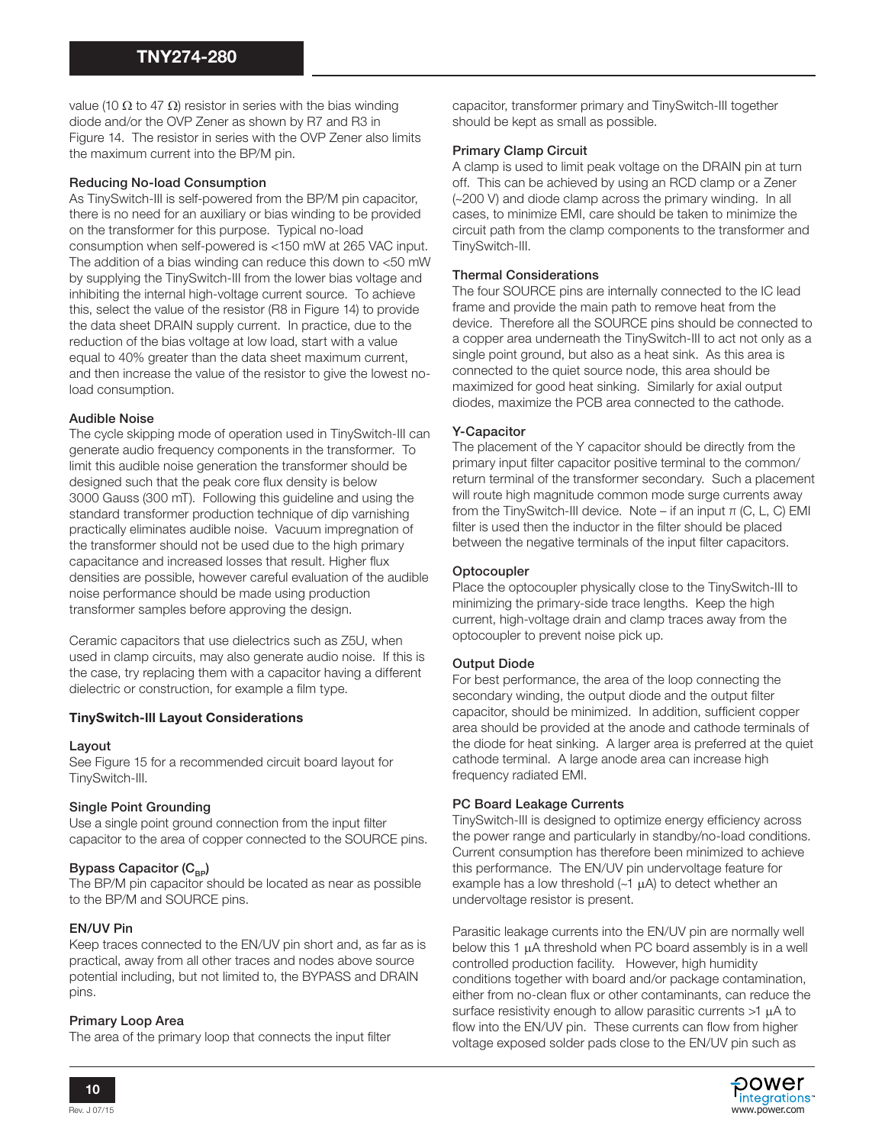value (10  $\Omega$  to 47  $\Omega$ ) resistor in series with the bias winding diode and/or the OVP Zener as shown by R7 and R3 in Figure 14. The resistor in series with the OVP Zener also limits the maximum current into the BP/M pin.

## Reducing No-load Consumption

As TinySwitch-III is self-powered from the BP/M pin capacitor, there is no need for an auxiliary or bias winding to be provided on the transformer for this purpose. Typical no-load consumption when self-powered is <150 mW at 265 VAC input. The addition of a bias winding can reduce this down to <50 mW by supplying the TinySwitch-III from the lower bias voltage and inhibiting the internal high-voltage current source. To achieve this, select the value of the resistor (R8 in Figure 14) to provide the data sheet DRAIN supply current. In practice, due to the reduction of the bias voltage at low load, start with a value equal to 40% greater than the data sheet maximum current, and then increase the value of the resistor to give the lowest noload consumption.

## Audible Noise

The cycle skipping mode of operation used in TinySwitch-III can generate audio frequency components in the transformer. To limit this audible noise generation the transformer should be designed such that the peak core flux density is below 3000 Gauss (300 mT). Following this guideline and using the standard transformer production technique of dip varnishing practically eliminates audible noise. Vacuum impregnation of the transformer should not be used due to the high primary capacitance and increased losses that result. Higher flux densities are possible, however careful evaluation of the audible noise performance should be made using production transformer samples before approving the design.

Ceramic capacitors that use dielectrics such as Z5U, when used in clamp circuits, may also generate audio noise. If this is the case, try replacing them with a capacitor having a different dielectric or construction, for example a film type.

## TinySwitch-lll Layout Considerations

#### Layout

See Figure 15 for a recommended circuit board layout for TinySwitch-III.

#### Single Point Grounding

Use a single point ground connection from the input filter capacitor to the area of copper connected to the SOURCE pins.

#### Bypass Capacitor  $(C_{_{\text{BD}}})$

The BP/M pin capacitor should be located as near as possible to the BP/M and SOURCE pins.

## EN/UV Pin

Keep traces connected to the EN/UV pin short and, as far as is practical, away from all other traces and nodes above source potential including, but not limited to, the BYPASS and DRAIN pins.

## Primary Loop Area

The area of the primary loop that connects the input filter

capacitor, transformer primary and TinySwitch-III together should be kept as small as possible.

#### Primary Clamp Circuit

A clamp is used to limit peak voltage on the DRAIN pin at turn off. This can be achieved by using an RCD clamp or a Zener (~200 V) and diode clamp across the primary winding. In all cases, to minimize EMI, care should be taken to minimize the circuit path from the clamp components to the transformer and TinySwitch-III.

#### Thermal Considerations

The four SOURCE pins are internally connected to the IC lead frame and provide the main path to remove heat from the device. Therefore all the SOURCE pins should be connected to a copper area underneath the TinySwitch-III to act not only as a single point ground, but also as a heat sink. As this area is connected to the quiet source node, this area should be maximized for good heat sinking. Similarly for axial output diodes, maximize the PCB area connected to the cathode.

## Y-Capacitor

The placement of the Y capacitor should be directly from the primary input filter capacitor positive terminal to the common/ return terminal of the transformer secondary. Such a placement will route high magnitude common mode surge currents away from the TinySwitch-III device. Note – if an input π (C, L, C) EMI filter is used then the inductor in the filter should be placed between the negative terminals of the input filter capacitors.

## **Optocoupler**

Place the optocoupler physically close to the TinySwitch-III to minimizing the primary-side trace lengths. Keep the high current, high-voltage drain and clamp traces away from the optocoupler to prevent noise pick up.

## Output Diode

For best performance, the area of the loop connecting the secondary winding, the output diode and the output filter capacitor, should be minimized. In addition, sufficient copper area should be provided at the anode and cathode terminals of the diode for heat sinking. A larger area is preferred at the quiet cathode terminal. A large anode area can increase high frequency radiated EMI.

#### PC Board Leakage Currents

TinySwitch-III is designed to optimize energy efficiency across the power range and particularly in standby/no-load conditions. Current consumption has therefore been minimized to achieve this performance. The EN/UV pin undervoltage feature for example has a low threshold  $(-1 \mu A)$  to detect whether an undervoltage resistor is present.

Parasitic leakage currents into the EN/UV pin are normally well below this 1  $\mu$ A threshold when PC board assembly is in a well controlled production facility. However, high humidity conditions together with board and/or package contamination, either from no-clean flux or other contaminants, can reduce the surface resistivity enough to allow parasitic currents  $>1$   $\mu$ A to flow into the EN/UV pin. These currents can flow from higher voltage exposed solder pads close to the EN/UV pin such as

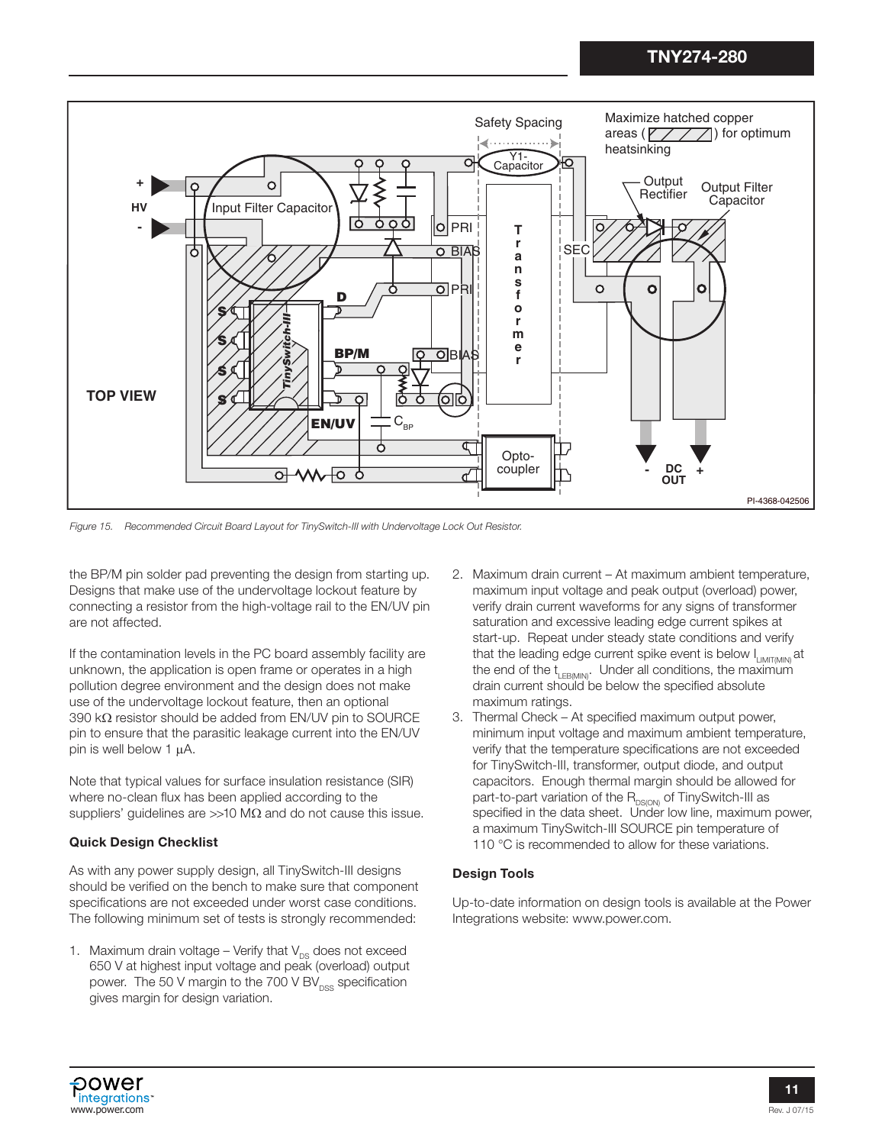

*Figure 15. Recommended Circuit Board Layout for TinySwitch-III with Undervoltage Lock Out Resistor.*

the BP/M pin solder pad preventing the design from starting up. Designs that make use of the undervoltage lockout feature by connecting a resistor from the high-voltage rail to the EN/UV pin are not affected.

If the contamination levels in the PC board assembly facility are unknown, the application is open frame or operates in a high pollution degree environment and the design does not make use of the undervoltage lockout feature, then an optional  $390$  k $\Omega$  resistor should be added from EN/UV pin to SOURCE pin to ensure that the parasitic leakage current into the EN/UV pin is well below  $1 \mu A$ .

Note that typical values for surface insulation resistance (SIR) where no-clean flux has been applied according to the suppliers' guidelines are  $>>10$  M $\Omega$  and do not cause this issue.

## Quick Design Checklist

As with any power supply design, all TinySwitch-III designs should be verified on the bench to make sure that component specifications are not exceeded under worst case conditions. The following minimum set of tests is strongly recommended:

1. Maximum drain voltage – Verify that  $V_{DS}$  does not exceed 650 V at highest input voltage and peak (overload) output power. The 50 V margin to the 700 V BV $_{\text{DSS}}$  specification gives margin for design variation.

- 2. Maximum drain current At maximum ambient temperature, maximum input voltage and peak output (overload) power, verify drain current waveforms for any signs of transformer saturation and excessive leading edge current spikes at start-up. Repeat under steady state conditions and verify that the leading edge current spike event is below I<sub>LIMIT(MIN)</sub> at the end of the  $t_{LEBMN}$ . Under all conditions, the maximum drain current should be below the specified absolute maximum ratings.
- 3. Thermal Check At specified maximum output power, minimum input voltage and maximum ambient temperature, verify that the temperature specifications are not exceeded for TinySwitch-III, transformer, output diode, and output capacitors. Enough thermal margin should be allowed for part-to-part variation of the  $R_{DS(ON)}$  of TinySwitch-III as specified in the data sheet. Under low line, maximum power, a maximum TinySwitch-III SOURCE pin temperature of 110 °C is recommended to allow for these variations.

## Design Tools

Up-to-date information on design tools is available at the Power Integrations website: www.power.com.

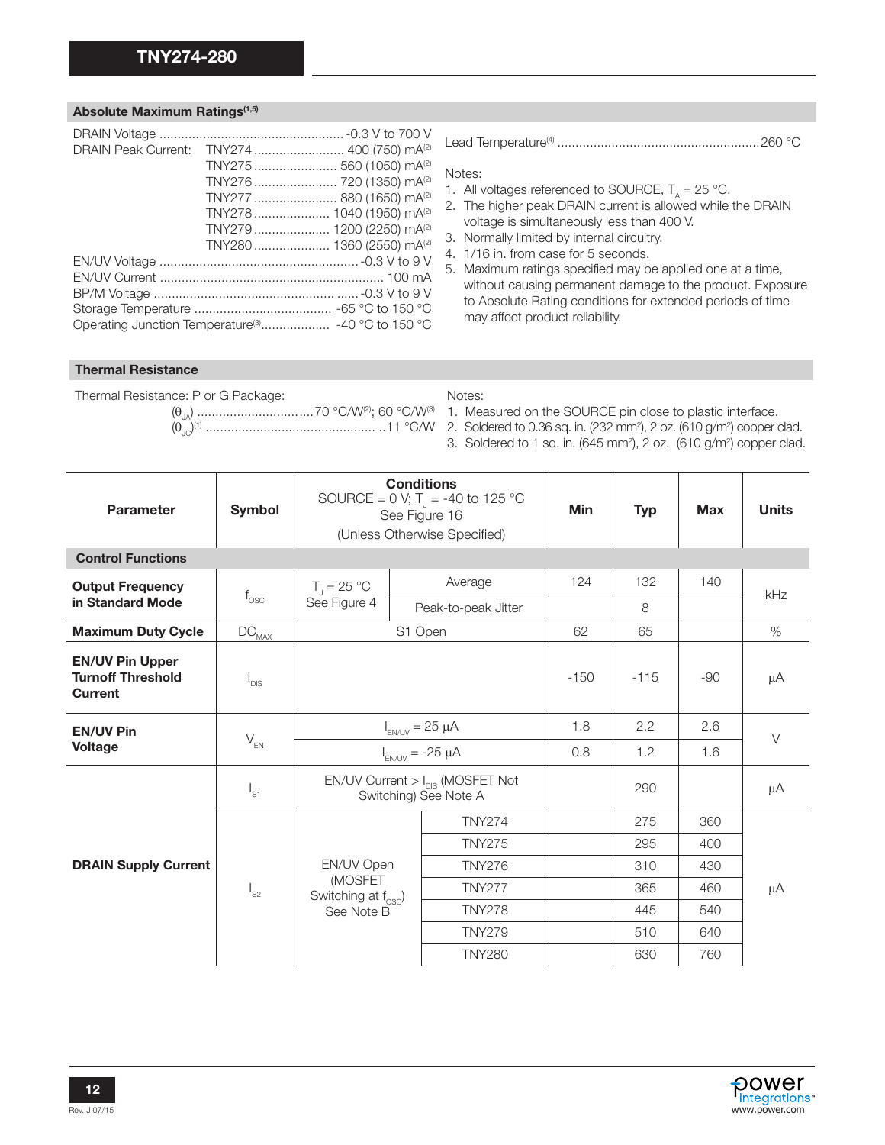## Absolute Maximum Ratings<sup>(1,5)</sup>

|  | DRAIN Peak Current: TNY274  400 (750) mA <sup>(2)</sup> |
|--|---------------------------------------------------------|
|  | TNY275  560 (1050) mA <sup>(2)</sup>                    |
|  | TNY276  720 (1350) mA <sup>(2)</sup>                    |
|  | TNY277  880 (1650) mA <sup>(2)</sup>                    |
|  | TNY278 1040 (1950) mA <sup>(2)</sup>                    |
|  | TNY279  1200 (2250) mA <sup>(2)</sup>                   |
|  | TNY280 1360 (2550) mA <sup>(2)</sup>                    |
|  |                                                         |
|  |                                                         |
|  |                                                         |
|  |                                                         |
|  |                                                         |

Lead Temperature(4) ........................................................260 °C

#### Notes:

- 1. All voltages referenced to SOURCE,  $T_A = 25 \degree C$ .
- 2. The higher peak DRAIN current is allowed while the DRAIN voltage is simultaneously less than 400 V.
- 3. Normally limited by internal circuitry.
- 4. 1/16 in. from case for 5 seconds.
- 5. Maximum ratings specified may be applied one at a time, without causing permanent damage to the product. Exposure to Absolute Rating conditions for extended periods of time may affect product reliability.

#### Thermal Resistance

| Thermal Resistance: P or G Package: | Notes:                                                                                      |
|-------------------------------------|---------------------------------------------------------------------------------------------|
|                                     |                                                                                             |
|                                     |                                                                                             |
|                                     | 3. Soldered to 1 sq. in. (645 mm <sup>2</sup> ), 2 oz. (610 g/m <sup>2</sup> ) copper clad. |

| <b>Parameter</b>                                                     | Symbol                   | <b>Conditions</b><br>SOURCE = 0 V; T <sub>1</sub> = -40 to 125 °C<br>See Figure 16<br>(Unless Otherwise Specified) |         |                     | <b>Min</b> | <b>Typ</b> | <b>Max</b> | <b>Units</b> |
|----------------------------------------------------------------------|--------------------------|--------------------------------------------------------------------------------------------------------------------|---------|---------------------|------------|------------|------------|--------------|
| <b>Control Functions</b>                                             |                          |                                                                                                                    |         |                     |            |            |            |              |
| <b>Output Frequency</b>                                              |                          | $T_{\rm J}$ = 25 °C                                                                                                |         | Average             | 124        | 132        | 140        |              |
| in Standard Mode                                                     | $f_{\rm osc}$            | See Figure 4                                                                                                       |         | Peak-to-peak Jitter |            | 8          |            | kHz          |
| <b>Maximum Duty Cycle</b>                                            | $\text{DC}_{\text{MAX}}$ |                                                                                                                    | S1 Open |                     | 62         | 65         |            | $\%$         |
| <b>EN/UV Pin Upper</b><br><b>Turnoff Threshold</b><br><b>Current</b> | $I_{DIS}$                |                                                                                                                    |         |                     | $-150$     | $-115$     | $-90$      | μA           |
| <b>EN/UV Pin</b>                                                     |                          | $I_{EN/UV} = 25 \mu A$                                                                                             |         | 1.8                 | 2.2        | 2.6        | $\vee$     |              |
| <b>Voltage</b>                                                       | $V_{EN}$                 | $I_{EN/UV}$ = -25 $\mu$ A                                                                                          |         | 0.8                 | 1.2        | 1.6        |            |              |
| $I_{S1}$                                                             |                          | $EN/UV$ Current $> I_{DIS}$ (MOSFET Not<br>Switching) See Note A                                                   |         |                     | 290        |            | μA         |              |
|                                                                      |                          |                                                                                                                    |         | <b>TNY274</b>       |            | 275        | 360        |              |
|                                                                      |                          |                                                                                                                    |         | <b>TNY275</b>       |            | 295        | 400        | μA           |
| <b>DRAIN Supply Current</b>                                          |                          | EN/UV Open                                                                                                         |         | <b>TNY276</b>       |            | 310        | 430        |              |
|                                                                      | $I_{S2}$                 | (MOSFET<br>Switching at $f_{\text{osc}}$ )                                                                         |         | <b>TNY277</b>       |            | 365        | 460        |              |
|                                                                      |                          | See Note B                                                                                                         |         | <b>TNY278</b>       |            | 445        | 540        |              |
|                                                                      |                          |                                                                                                                    |         | <b>TNY279</b>       |            | 510        | 640        |              |
|                                                                      |                          |                                                                                                                    |         | <b>TNY280</b>       |            | 630        | 760        |              |

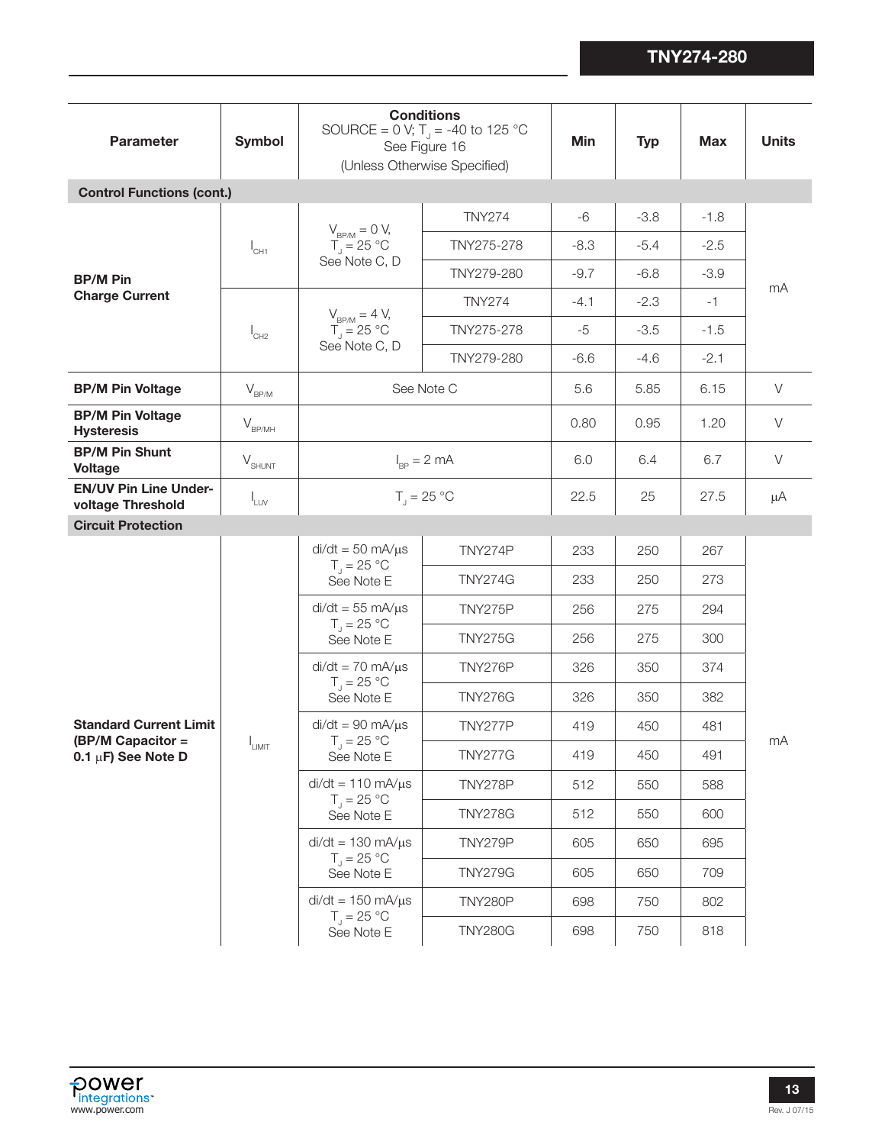| <b>Parameter</b>                                   | <b>Symbol</b>                 | <b>Conditions</b><br>SOURCE = 0 V; T <sub>J</sub> = -40 to 125 °C<br>See Figure 16<br>(Unless Otherwise Specified) | Min                             | <b>Typ</b> | <b>Max</b> | <b>Units</b> |        |
|----------------------------------------------------|-------------------------------|--------------------------------------------------------------------------------------------------------------------|---------------------------------|------------|------------|--------------|--------|
| <b>Control Functions (cont.)</b>                   |                               |                                                                                                                    |                                 |            |            |              |        |
|                                                    |                               |                                                                                                                    | <b>TNY274</b>                   | $-6$       | $-3.8$     | $-1.8$       |        |
|                                                    | $I_{CH1}$                     | $V_{BP/M} = 0 V,$<br>$T_{J} = 25 °C$<br>See Note C, D                                                              | TNY275-278                      | $-8.3$     | $-5.4$     | $-2.5$       |        |
| <b>BP/M Pin</b>                                    |                               |                                                                                                                    | TNY279-280                      | $-9.7$     | $-6.8$     | $-3.9$       |        |
| <b>Charge Current</b>                              |                               | $V_{B P/M} = 4 V,$                                                                                                 | <b>TNY274</b>                   | $-4.1$     | $-2.3$     | $-1$         | mA     |
|                                                    | $I_{CH2}$                     | $T_{\rm J}$ = 25 °C                                                                                                | TNY275-278                      | $-5$       | $-3.5$     | $-1.5$       |        |
|                                                    |                               | See Note C, D                                                                                                      | TNY279-280                      | $-6.6$     | $-4.6$     | $-2.1$       |        |
| <b>BP/M Pin Voltage</b>                            | $V_{\rm BP/M}$                |                                                                                                                    | See Note C                      | 5.6        | 5.85       | 6.15         | $\vee$ |
| <b>BP/M Pin Voltage</b><br><b>Hysteresis</b>       | $V_{BP/MH}$                   |                                                                                                                    |                                 | 0.80       | 0.95       | 1.20         | $\vee$ |
| <b>BP/M Pin Shunt</b><br><b>Voltage</b>            | $\mathsf{V}_{\mathsf{SHUNT}}$ | $I_{\rm BP} = 2 \text{ mA}$                                                                                        |                                 | 6.0        | 6.4        | 6.7          | $\vee$ |
| <b>EN/UV Pin Line Under-</b><br>voltage Threshold  | $I_{LUV}$                     |                                                                                                                    | $T_{\parallel} = 25 \text{ °C}$ | 22.5       | 25         | 27.5         | μA     |
| <b>Circuit Protection</b>                          |                               |                                                                                                                    |                                 |            |            |              |        |
|                                                    |                               | $di/dt = 50$ mA/ $\mu$ s<br>$T_{\rm J} = 25 \,^{\circ}\mathrm{C}$<br>See Note E                                    | TNY274P                         | 233        | 250        | 267          |        |
|                                                    |                               |                                                                                                                    | <b>TNY274G</b>                  | 233        | 250        | 273          |        |
|                                                    |                               | $di/dt = 55$ mA/ $\mu$ s<br>$T_{J} = 25 °C$<br>See Note E                                                          | TNY275P                         | 256        | 275        | 294          |        |
|                                                    |                               |                                                                                                                    | <b>TNY275G</b>                  | 256        | 275        | 300          |        |
|                                                    |                               | $di/dt = 70$ mA/ $\mu$ s                                                                                           | <b>TNY276P</b>                  | 326        | 350        | 374          |        |
|                                                    |                               | $T_{\rm J} = 25 \,^{\circ}\mathrm{C}$<br>See Note E                                                                | <b>TNY276G</b>                  | 326        | 350        | 382          | mA     |
| <b>Standard Current Limit</b><br>(BP/M Capacitor = |                               | $di/dt = 90$ mA/ $\mu$ s<br>$T_{J} = 25 °C$                                                                        | TNY277P                         | 419        | 450        | 481          |        |
| 0.1 $\mu$ F) See Note D                            | 'LIMIT                        | See Note E                                                                                                         | <b>TNY277G</b>                  | 419        | 450        | 491          |        |
|                                                    |                               | $di/dt = 110$ mA/ $\mu$ s<br>$T_{\rm J} = 25 \,^{\circ}\mathrm{C}$                                                 | <b>TNY278P</b>                  | 512        | 550        | 588          |        |
|                                                    |                               | See Note E                                                                                                         | <b>TNY278G</b>                  | 512        | 550        | 600          |        |
|                                                    |                               | $di/dt = 130$ mA/ $\mu$ s<br>$T_{\rm J}$ = 25 °C                                                                   | TNY279P                         | 605        | 650        | 695          |        |
|                                                    |                               | See Note E                                                                                                         | <b>TNY279G</b>                  | 605        | 650        | 709          |        |
|                                                    |                               | $di/dt = 150$ mA/ $\mu$ s<br>$T_{\rm d} = 25 \,^{\circ}\mathrm{C}$                                                 | TNY280P                         | 698        | 750        | 802          |        |
|                                                    |                               | See Note E                                                                                                         | <b>TNY280G</b>                  | 698        | 750        | 818          |        |

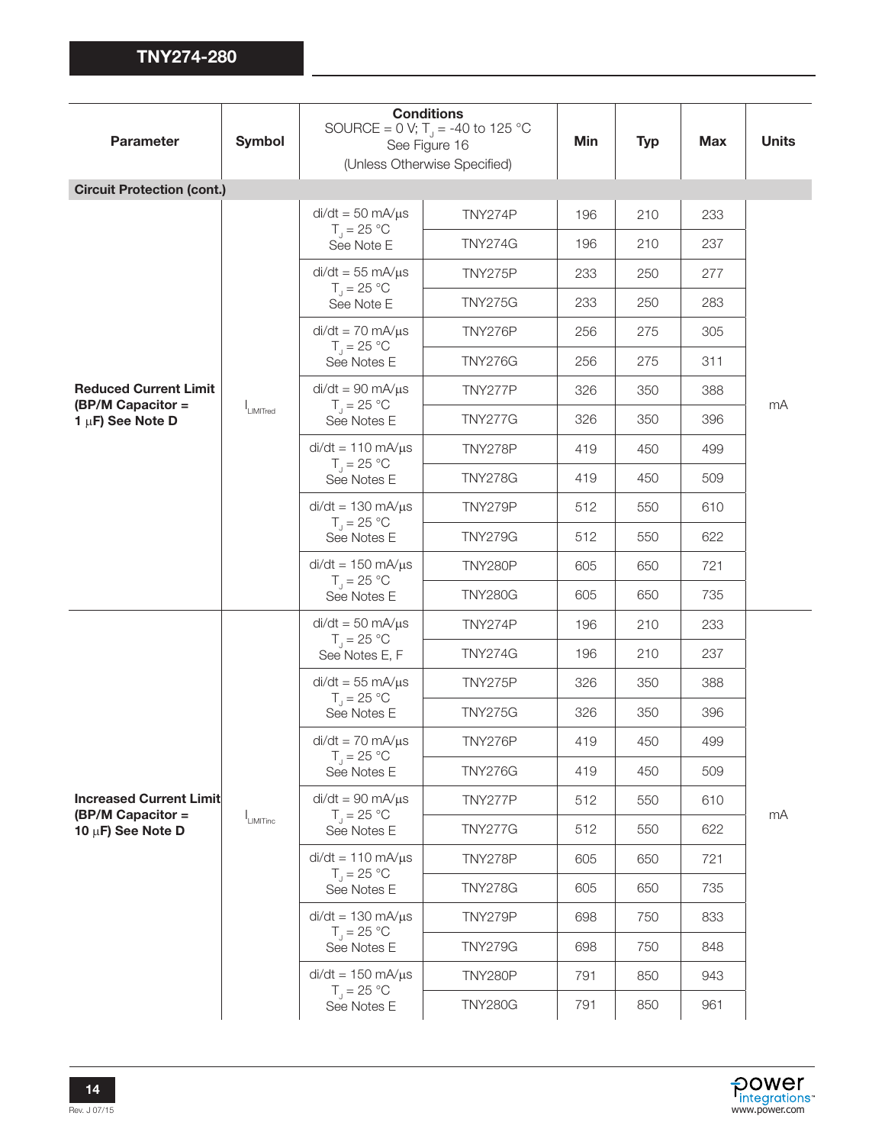| <b>Parameter</b>                                    | <b>Symbol</b>  |                                                                                   | <b>Conditions</b><br>SOURCE = 0 V; T <sub>1</sub> = -40 to 125 °C<br>See Figure 16<br>(Unless Otherwise Specified) | Min | <b>Typ</b> | <b>Max</b> | <b>Units</b> |
|-----------------------------------------------------|----------------|-----------------------------------------------------------------------------------|--------------------------------------------------------------------------------------------------------------------|-----|------------|------------|--------------|
| <b>Circuit Protection (cont.)</b>                   |                |                                                                                   |                                                                                                                    |     |            |            |              |
|                                                     |                | $di/dt = 50$ mA/ $\mu$ s                                                          | TNY274P                                                                                                            | 196 | 210        | 233        |              |
|                                                     |                | $T_{\rm J} = 25 \,^{\circ}\mathrm{C}$<br>See Note E                               | <b>TNY274G</b>                                                                                                     | 196 | 210        | 237        |              |
|                                                     |                | $di/dt = 55$ mA/ $\mu$ s                                                          | <b>TNY275P</b>                                                                                                     | 233 | 250        | 277        |              |
|                                                     |                | $T_{J} = 25 °C$<br>See Note E                                                     | <b>TNY275G</b>                                                                                                     | 233 | 250        | 283        |              |
|                                                     |                | $di/dt = 70$ mA/ $\mu$ s<br>$T_{\rm d}$ = 25 °C                                   | TNY276P                                                                                                            | 256 | 275        | 305        |              |
|                                                     |                | See Notes E                                                                       | <b>TNY276G</b>                                                                                                     | 256 | 275        | 311        |              |
| <b>Reduced Current Limit</b><br>(BP/M Capacitor =   |                | $di/dt = 90$ mA/ $\mu$ s<br>$T_{\parallel} = 25 \text{ °C}$                       | TNY277P                                                                                                            | 326 | 350        | 388        | mA           |
| 1 $\mu$ F) See Note D                               | LIMITred       | See Notes E                                                                       | <b>TNY277G</b>                                                                                                     | 326 | 350        | 396        |              |
|                                                     |                | $di/dt = 110$ mA/ $\mu$ s                                                         | TNY278P                                                                                                            | 419 | 450        | 499        |              |
|                                                     |                | $T_{\rm J} = 25 \,^{\circ}\mathrm{C}$<br>See Notes E                              | <b>TNY278G</b>                                                                                                     | 419 | 450        | 509        |              |
|                                                     |                | $di/dt = 130$ mA/ $\mu$ s<br>$T_{\rm J} = 25 \,^{\circ}\mathrm{C}$<br>See Notes E | TNY279P                                                                                                            | 512 | 550        | 610        |              |
|                                                     |                |                                                                                   | <b>TNY279G</b>                                                                                                     | 512 | 550        | 622        |              |
|                                                     |                | $di/dt = 150$ mA/ $\mu$ s<br>$T_{\rm J} = 25 \,^{\circ}\mathrm{C}$<br>See Notes E | <b>TNY280P</b>                                                                                                     | 605 | 650        | 721        |              |
|                                                     |                |                                                                                   | <b>TNY280G</b>                                                                                                     | 605 | 650        | 735        |              |
|                                                     |                | $di/dt = 50$ mA/ $\mu$ s<br>$T_1 = 25 °C$<br>See Notes E, F                       | TNY274P                                                                                                            | 196 | 210        | 233        |              |
|                                                     |                |                                                                                   | <b>TNY274G</b>                                                                                                     | 196 | 210        | 237        |              |
|                                                     |                | $di/dt = 55$ mA/ $\mu$ s                                                          | TNY275P                                                                                                            | 326 | 350        | 388        |              |
|                                                     |                | $T_{\rm J} = 25 \,^{\circ}\mathrm{C}$<br>See Notes E                              | <b>TNY275G</b>                                                                                                     | 326 | 350        | 396        |              |
|                                                     |                | $di/dt = 70$ mA/ $\mu$ s<br>$T_1 = 25 °C$                                         | TNY276P                                                                                                            | 419 | 450        | 499        |              |
|                                                     |                | See Notes E                                                                       | <b>TNY276G</b>                                                                                                     | 419 | 450        | 509        |              |
| <b>Increased Current Limit</b><br>(BP/M Capacitor = |                | $di/dt = 90$ mA/ $\mu$ s<br>$T_{\rm J} = 25 \,^{\circ}\mathrm{C}$                 | TNY277P                                                                                                            | 512 | 550        | 610        |              |
| 10 µF) See Note D                                   | $I_{LIMITinc}$ | See Notes E                                                                       | <b>TNY277G</b>                                                                                                     | 512 | 550        | 622        | mA           |
|                                                     |                | $di/dt = 110$ mA/ $\mu$ s<br>$T_{\parallel} = 25 \text{ °C}$                      | TNY278P                                                                                                            | 605 | 650        | 721        |              |
|                                                     |                | See Notes E                                                                       | <b>TNY278G</b>                                                                                                     | 605 | 650        | 735        |              |
|                                                     |                | $di/dt = 130$ mA/ $\mu$ s<br>$T_{\parallel} = 25 \text{ °C}$                      | TNY279P                                                                                                            | 698 | 750        | 833        |              |
|                                                     |                | See Notes E                                                                       | <b>TNY279G</b>                                                                                                     | 698 | 750        | 848        |              |
|                                                     |                | $di/dt = 150$ mA/ $\mu$ s                                                         | <b>TNY280P</b>                                                                                                     | 791 | 850        | 943        |              |
|                                                     |                | $T_{\rm J}$ = 25 °C<br>See Notes E                                                | <b>TNY280G</b>                                                                                                     | 791 | 850        | 961        |              |

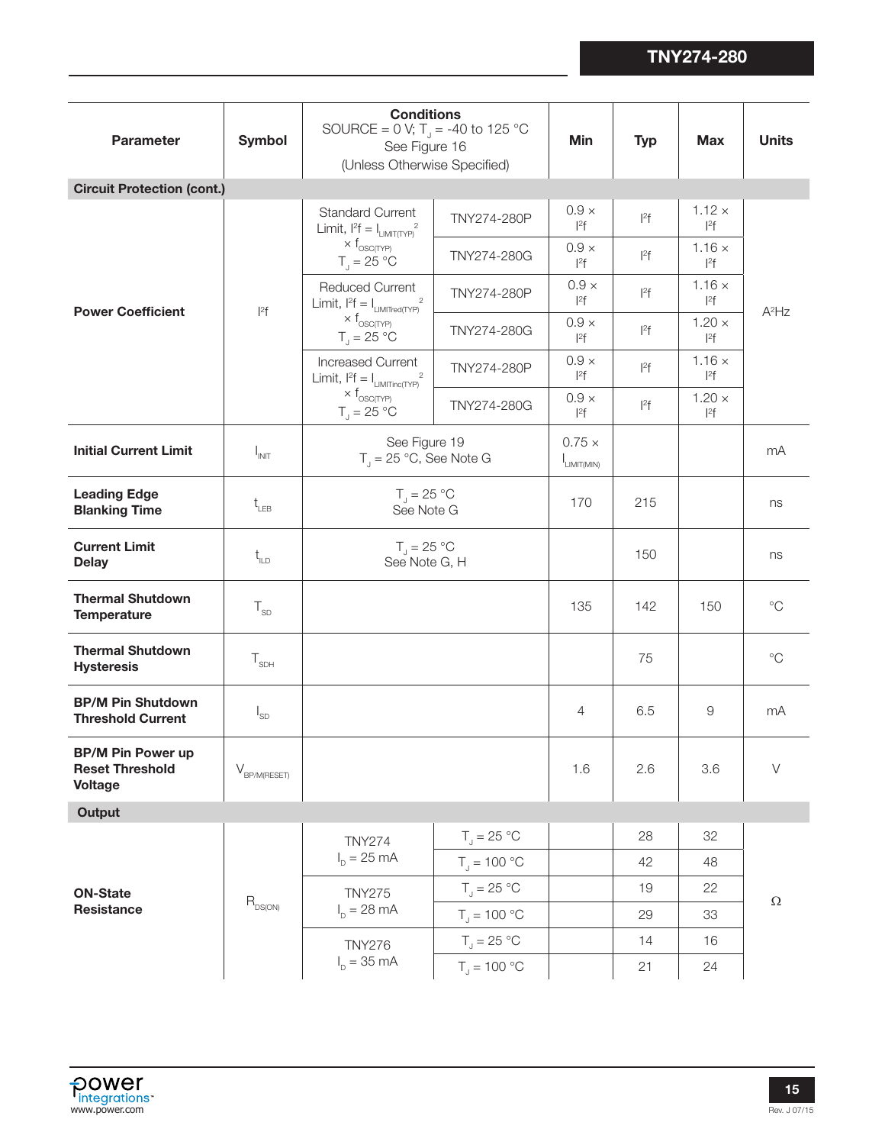| <b>Parameter</b>                                                     | Symbol                                      | <b>Conditions</b><br>SOURCE = 0 V; T <sub>1</sub> = -40 to 125 °C<br>See Figure 16<br>(Unless Otherwise Specified) |                                | <b>Min</b>                        | <b>Typ</b>       | <b>Max</b>                | <b>Units</b> |
|----------------------------------------------------------------------|---------------------------------------------|--------------------------------------------------------------------------------------------------------------------|--------------------------------|-----------------------------------|------------------|---------------------------|--------------|
| <b>Circuit Protection (cont.)</b>                                    |                                             |                                                                                                                    |                                |                                   |                  |                           |              |
|                                                                      |                                             | <b>Standard Current</b><br>Limit, $l^2f = I_{LIMIT(TYP)}^2$                                                        | TNY274-280P                    | $0.9 \times$<br>$ ^{2}f$          | $ ^{2}f$         | $1.12 \times$<br>$ ^{2}f$ |              |
|                                                                      |                                             | $\times$ $f_{\text{OSC(TYP)}}$<br>$T_1 = 25 °C$                                                                    | TNY274-280G                    | $0.9\times$<br>$ ^{2}f$           | $ ^{2}f$         | $1.16 \times$<br>$ ^{2}f$ |              |
| <b>Power Coefficient</b>                                             | $ ^{2}f$                                    | <b>Reduced Current</b><br>Limit, $l^2 f = I_{LIMITred(TYP)}^2$                                                     | TNY274-280P                    | $0.9 \times$<br>$ ^{2}f$          | $ ^{2}f$         | $1.16 \times$<br>$ ^{2}f$ | $A^2$ Hz     |
|                                                                      |                                             | $\times$ $f_{\rm OSC(TYP)}$<br>$T_{\text{J}} = 25 \text{ °C}$                                                      | TNY274-280G                    | $0.9 \times$<br>$ ^{2}f$          | $ ^{2}f$         | $1.20 \times$<br>$ ^{2}f$ |              |
|                                                                      |                                             | Increased Current<br>Limit, $l^2f = I_{LIMITinc(TYP)}^2$                                                           | TNY274-280P                    | $0.9 \times$<br>$ ^{2}f$          | $\mathsf{I}^2$ f | $1.16 \times$<br>$ ^{2}f$ |              |
|                                                                      |                                             | $\times$ $f_{\rm OSC(TYP)}$<br>$T_{\text{d}} = 25 \text{ °C}$                                                      | TNY274-280G                    | $0.9 \times$<br>$ ^{2}f$          | $ ^{2}f$         | $1.20 \times$<br>$ ^{2}f$ |              |
| <b>Initial Current Limit</b>                                         | $I_{INT}$                                   | See Figure 19<br>$T_{\parallel}$ = 25 °C, See Note G                                                               |                                | $0.75 \times$<br>$I_{LIMIT(MIN)}$ |                  |                           | mA           |
| <b>Leading Edge</b><br><b>Blanking Time</b>                          | $t_{LEB}$                                   | $T_{J} = 25 °C$<br>See Note G                                                                                      |                                | 170                               | 215              |                           | ns           |
| <b>Current Limit</b><br><b>Delay</b>                                 | $t_{\text{ILD}}$                            | $T_{\rm J} = 25 \,^{\circ}\mathrm{C}$<br>See Note G, H                                                             |                                |                                   | 150              |                           | ns           |
| <b>Thermal Shutdown</b><br><b>Temperature</b>                        | $T_{SD}$                                    |                                                                                                                    |                                | 135                               | 142              | 150                       | $^{\circ}C$  |
| <b>Thermal Shutdown</b><br><b>Hysteresis</b>                         | $\mathsf{T}_{\mathsf{SDH}}$                 |                                                                                                                    |                                |                                   | 75               |                           | $^{\circ}C$  |
| <b>BP/M Pin Shutdown</b><br><b>Threshold Current</b>                 | $I_{SD}$                                    |                                                                                                                    |                                | 4                                 | 6.5              | 9                         | mA           |
| <b>BP/M Pin Power up</b><br><b>Reset Threshold</b><br><b>Voltage</b> | $\mathsf{V}_{\mathsf{BP/M}(\mathsf{REST})}$ |                                                                                                                    |                                | 1.6                               | 2.6              | 3.6                       | $\vee$       |
| <b>Output</b>                                                        |                                             |                                                                                                                    |                                |                                   |                  |                           |              |
|                                                                      |                                             | <b>TNY274</b>                                                                                                      | $T_{\text{J}} = 25 \text{ °C}$ |                                   | 28               | 32                        |              |
|                                                                      |                                             | $I_{p} = 25 \text{ mA}$                                                                                            | $T_{\rm d} = 100 °C$           |                                   | 42               | 48                        |              |
| <b>ON-State</b>                                                      |                                             | <b>TNY275</b>                                                                                                      | $T_{\rm J}$ = 25 °C            |                                   | 19               | 22                        |              |
| <b>Resistance</b>                                                    | $R_{DS(ON)}$                                | $I_{p} = 28 \text{ mA}$                                                                                            | $T_{\rm j} = 100 \, \degree C$ |                                   | 29               | 33                        | $\Omega$     |
|                                                                      |                                             | <b>TNY276</b>                                                                                                      | $T_{\rm J}$ = 25 °C            |                                   | 14               | 16                        |              |
|                                                                      |                                             | $I_{\text{D}} = 35 \text{ mA}$                                                                                     | $T_{\rm J} = 100 \, \degree C$ |                                   | 21               | 24                        |              |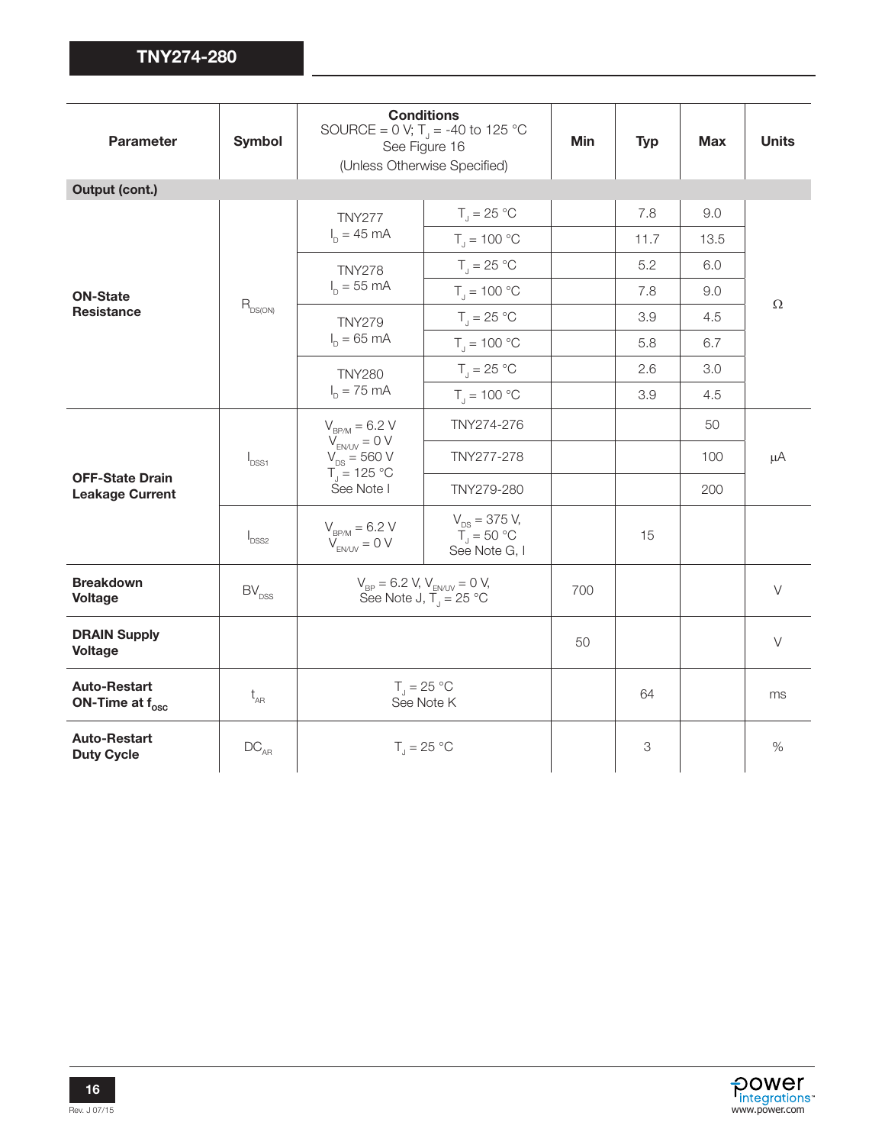| <b>Parameter</b>                                 | <b>Symbol</b>                       | <b>Conditions</b><br>SOURCE = 0 V; T <sub>1</sub> = -40 to 125 °C<br>See Figure 16<br>(Unless Otherwise Specified) | <b>Min</b>                                                   | <b>Typ</b> | <b>Max</b> | <b>Units</b> |          |
|--------------------------------------------------|-------------------------------------|--------------------------------------------------------------------------------------------------------------------|--------------------------------------------------------------|------------|------------|--------------|----------|
| Output (cont.)                                   |                                     |                                                                                                                    |                                                              |            |            |              |          |
|                                                  |                                     | <b>TNY277</b>                                                                                                      | $T_{\parallel} = 25 \text{ °C}$                              |            | 7.8        | 9.0          |          |
|                                                  |                                     | $I_{p} = 45 \text{ mA}$                                                                                            | $T_{\rm d} = 100 °C$                                         |            | 11.7       | 13.5         |          |
|                                                  |                                     | <b>TNY278</b>                                                                                                      | $T_{\parallel} = 25 \text{ °C}$                              |            | 5.2        | 6.0          |          |
| <b>ON-State</b>                                  |                                     | $I_{\text{D}} = 55 \text{ mA}$                                                                                     | $T_{\rm J}$ = 100 °C                                         |            | 7.8        | 9.0          |          |
| <b>Resistance</b>                                | $\mathsf{R}_{\text{DS}(\text{ON})}$ | <b>TNY279</b>                                                                                                      | $T_1 = 25 °C$                                                |            | 3.9        | 4.5          | $\Omega$ |
|                                                  |                                     | $I_{p} = 65$ mA                                                                                                    | $T_1 = 100 °C$                                               |            | 5.8        | 6.7          |          |
|                                                  |                                     | <b>TNY280</b><br>$I_{D} = 75 \text{ mA}$                                                                           | $T_{\parallel} = 25 \text{ °C}$                              |            | 2.6        | 3.0          |          |
|                                                  |                                     |                                                                                                                    | $T_{\rm j} = 100 \, \rm ^{\circ}C$                           |            | 3.9        | 4.5          |          |
|                                                  | $\mathsf{I}_{\text{DSS1}}$          | $V_{BP/M} = 6.2 V$<br>$V_{EN/UV} = 0 V$<br>$V_{DS} = 560 V$<br>T <sub>J</sub> = 125 °C<br>See Note I               | TNY274-276                                                   |            |            | 50           | μA       |
|                                                  |                                     |                                                                                                                    | TNY277-278                                                   |            |            | 100          |          |
| <b>OFF-State Drain</b><br><b>Leakage Current</b> |                                     |                                                                                                                    | TNY279-280                                                   |            |            | 200          |          |
|                                                  | $I_{DSS2}$                          | $V_{BPM} = 6.2 V$<br>$V_{EN/UV} = 0 V$                                                                             | $V_{DS}$ = 375 V,<br>$\overline{T}$ = 50 °C<br>See Note G, I |            | 15         |              |          |
| <b>Breakdown</b><br><b>Voltage</b>               | $BV_{DSS}$                          | $V_{BP} = 6.2 V, V_{ENUV} = 0 V,$<br>See Note J, T <sub>J</sub> = 25 °C                                            |                                                              | 700        |            |              | $\vee$   |
| <b>DRAIN Supply</b><br><b>Voltage</b>            |                                     |                                                                                                                    |                                                              | 50         |            |              | $\vee$   |
| <b>Auto-Restart</b><br>ON-Time at $f_{osc}$      | $t_{AR}$                            |                                                                                                                    | $T_{\rm J}$ = 25 °C<br>See Note K                            |            | 64         |              | ms       |
| <b>Auto-Restart</b><br><b>Duty Cycle</b>         | $DC_{AP}$                           |                                                                                                                    | $T_{\parallel} = 25 \text{ °C}$                              |            | 3          |              | $\%$     |

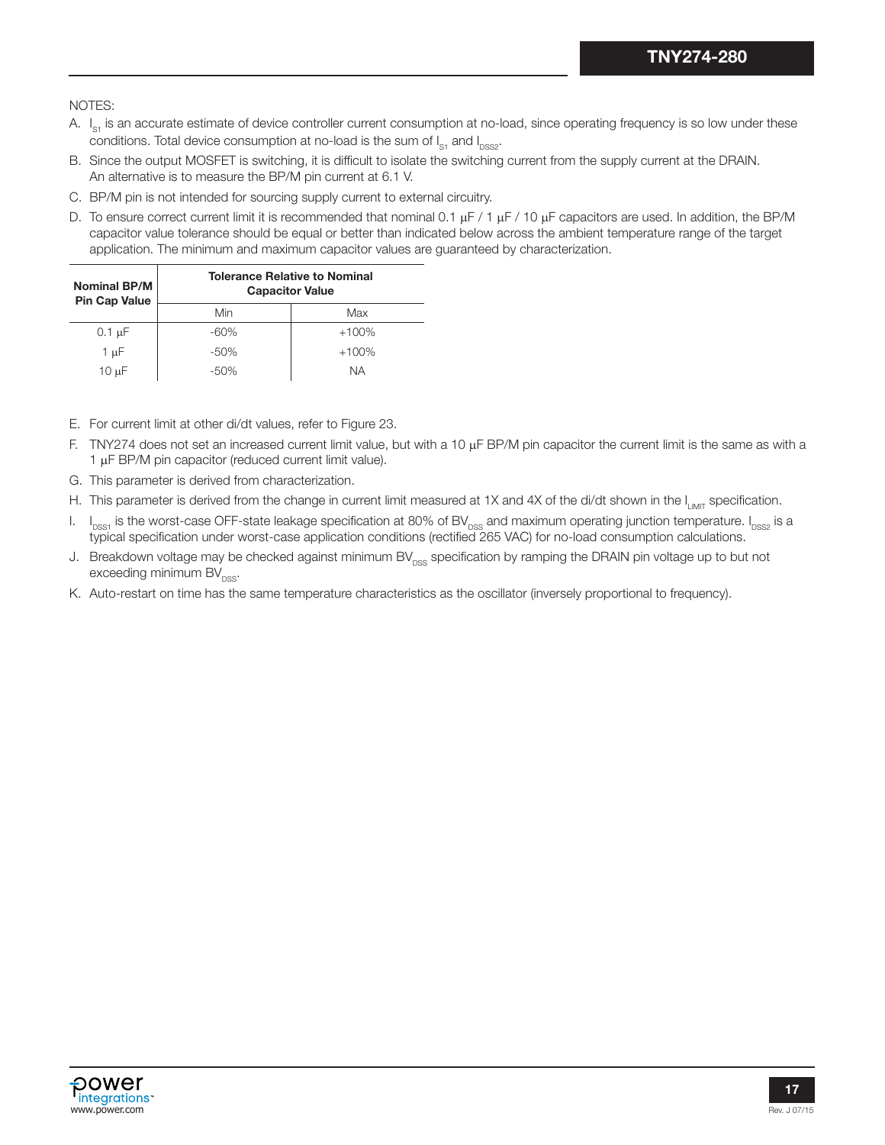NOTES:

- A. I<sub>s1</sub> is an accurate estimate of device controller current consumption at no-load, since operating frequency is so low under these conditions. Total device consumption at no-load is the sum of  $I_{\text{S1}}$  and  $I_{\text{DSS2}}$ .
- B. Since the output MOSFET is switching, it is difficult to isolate the switching current from the supply current at the DRAIN. An alternative is to measure the BP/M pin current at 6.1 V.
- C. BP/M pin is not intended for sourcing supply current to external circuitry.
- D. To ensure correct current limit it is recommended that nominal 0.1  $\mu$ F / 1  $\mu$ F / 10  $\mu$ F capacitors are used. In addition, the BP/M capacitor value tolerance should be equal or better than indicated below across the ambient temperature range of the target application. The minimum and maximum capacitor values are guaranteed by characterization.

| <b>Nominal BP/M</b><br><b>Pin Cap Value</b> | <b>Tolerance Relative to Nominal</b><br><b>Capacitor Value</b> |         |  |  |  |
|---------------------------------------------|----------------------------------------------------------------|---------|--|--|--|
|                                             | Min                                                            | Max     |  |  |  |
| $0.1 \mu F$                                 | $-60\%$                                                        | $+100%$ |  |  |  |
| $1 \mu F$                                   | $-50\%$                                                        | $+100%$ |  |  |  |
| 10 µF                                       | $-50\%$                                                        | ΝA      |  |  |  |

- E. For current limit at other di/dt values, refer to Figure 23.
- F. TNY274 does not set an increased current limit value, but with a 10  $\mu$ F BP/M pin capacitor the current limit is the same as with a  $1 \mu$ F BP/M pin capacitor (reduced current limit value).
- G. This parameter is derived from characterization.
- H. This parameter is derived from the change in current limit measured at 1X and 4X of the di/dt shown in the  $I_{I_{\text{IMIT}}}$  specification.
- I.  $\,$  I<sub>DSS1</sub> is the worst-case OFF-state leakage specification at 80% of BV<sub>DSS</sub> and maximum operating junction temperature. I<sub>DSS2</sub> is a typical specification under worst-case application conditions (rectified 265 VAC) for no-load consumption calculations.
- J. Breakdown voltage may be checked against minimum  $BV_{DSS}$  specification by ramping the DRAIN pin voltage up to but not exceeding minimum  $BV_{\text{DSS}}$ .
- K. Auto-restart on time has the same temperature characteristics as the oscillator (inversely proportional to frequency).

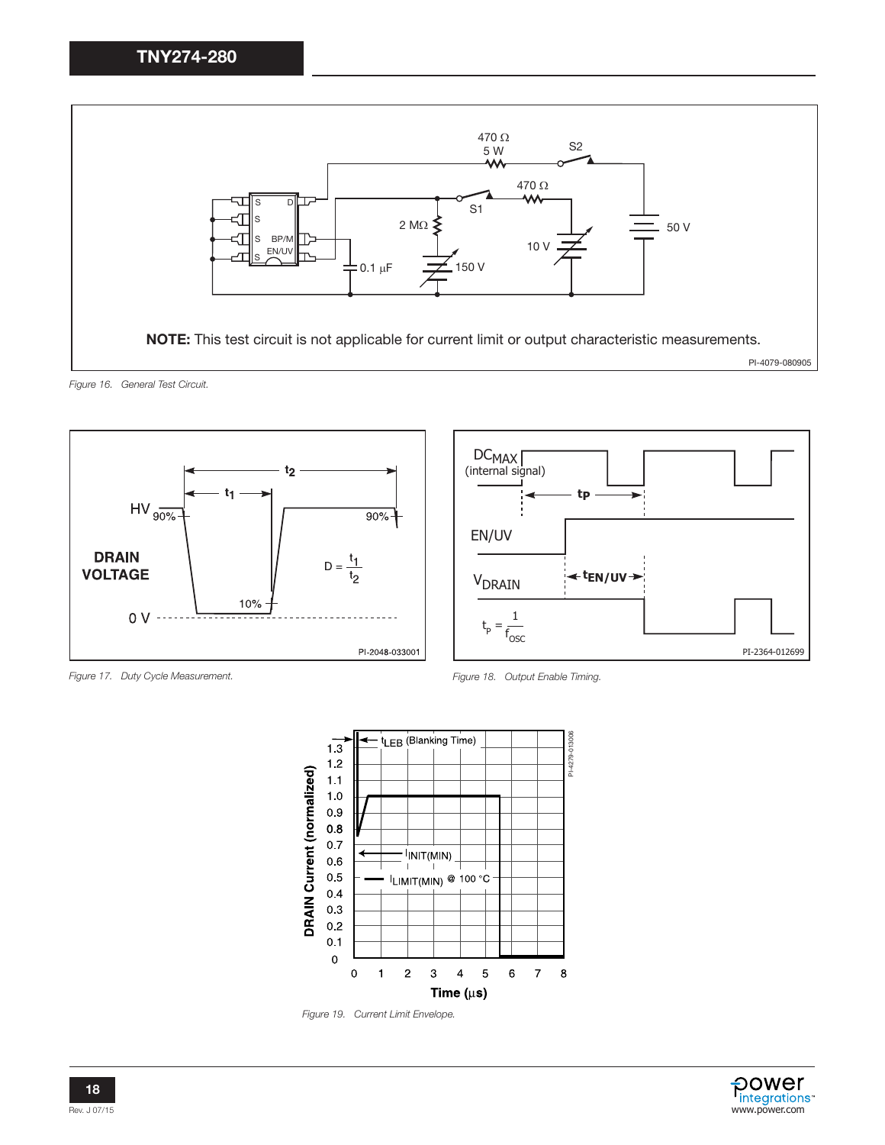



*Figure 17. Duty Cycle Measurement. Figure 18. Output Enable Timing.*





*Figure 19. Current Limit Envelope.*

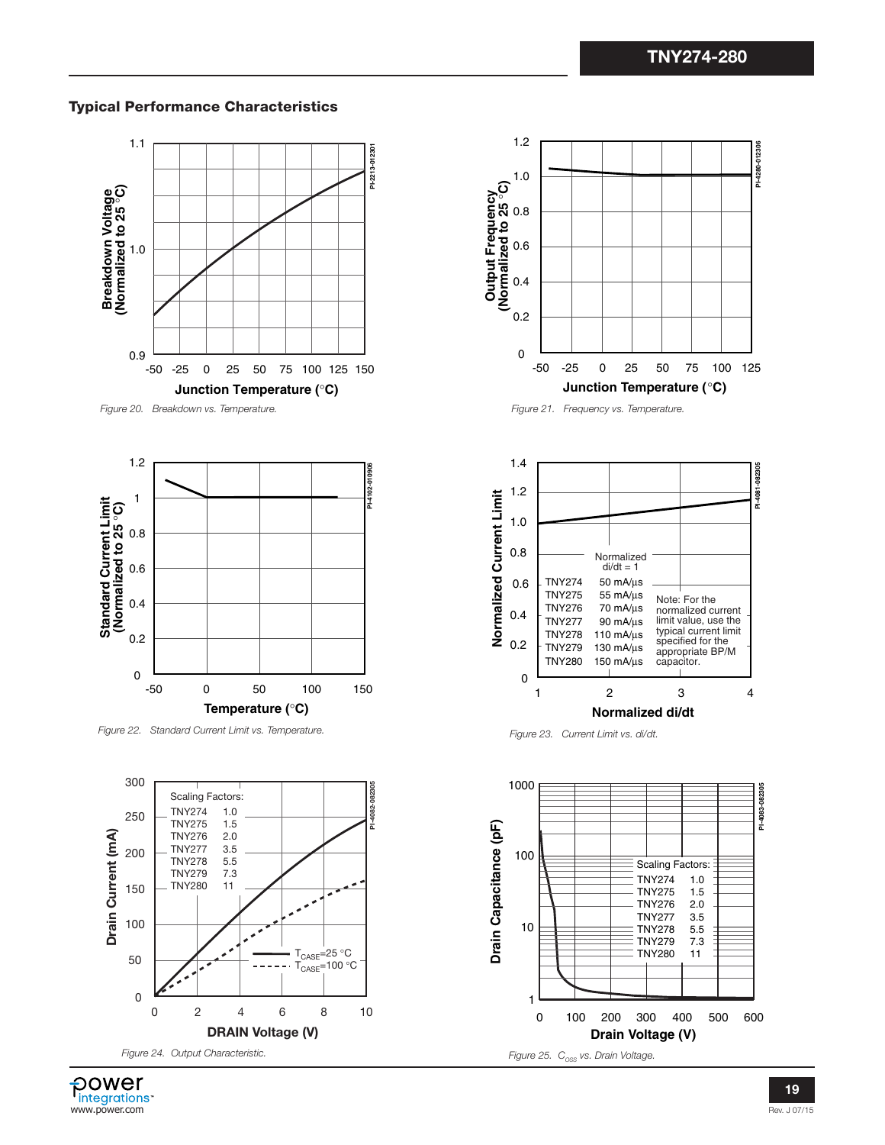# Typical Performance Characteristics



*Figure 20. Breakdown vs. Temperature.*



*Figure 22. Standard Current Limit vs. Temperature.*





*Figure 21. Frequency vs. Temperature.*



*Figure 23. Current Limit vs. di/dt.*



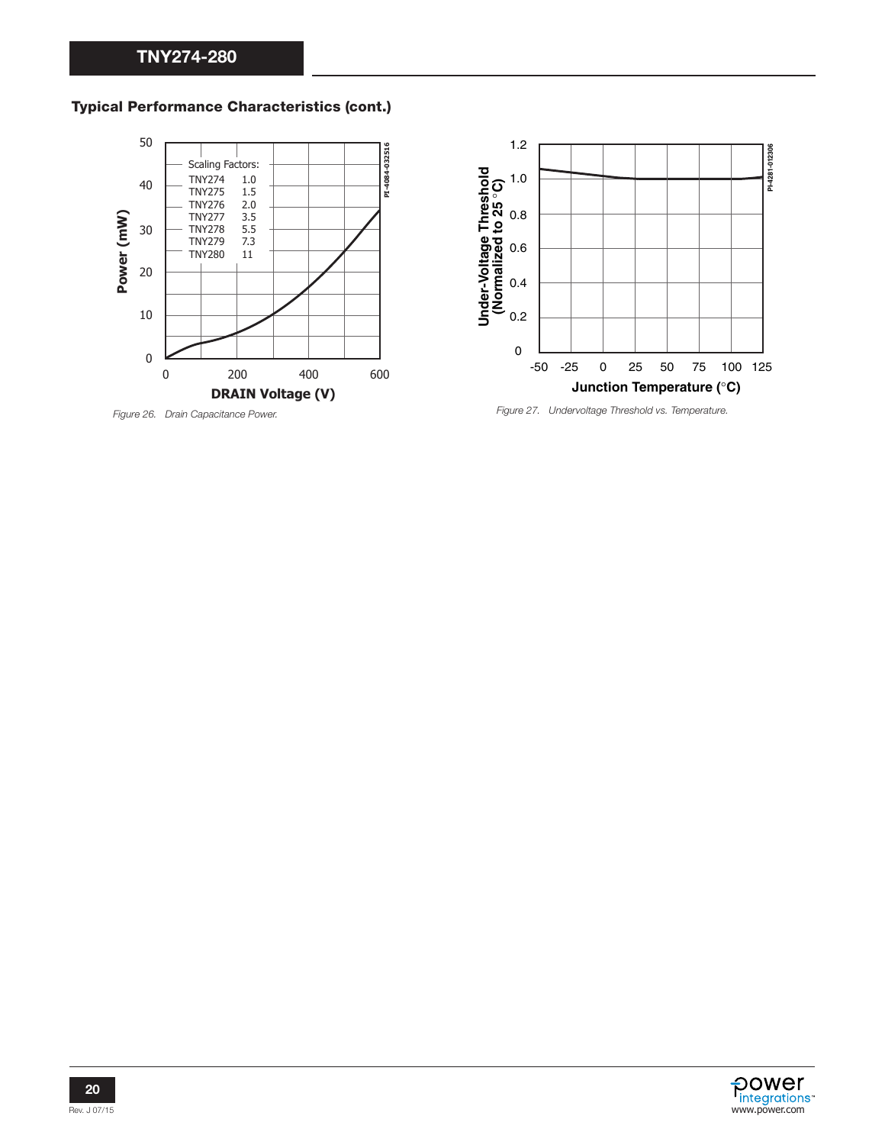



*Figure 26. Drain Capacitance Power.*



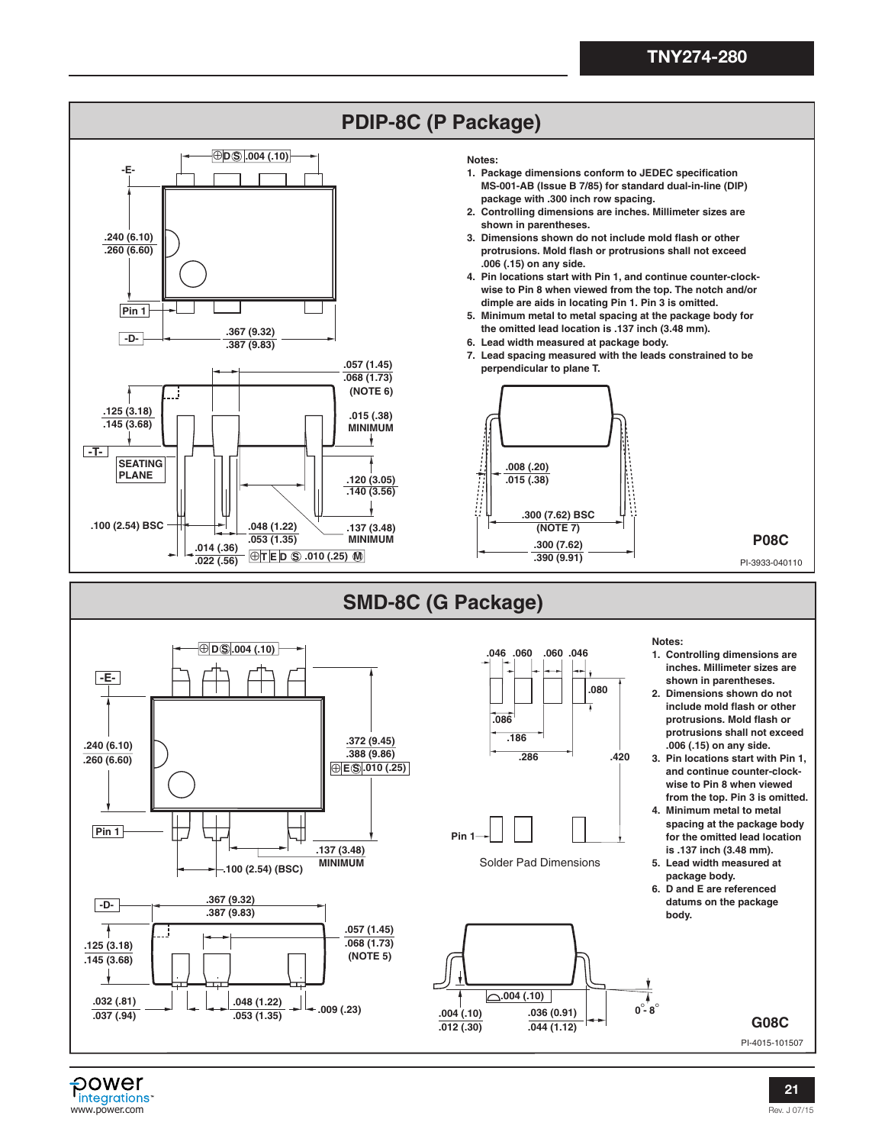

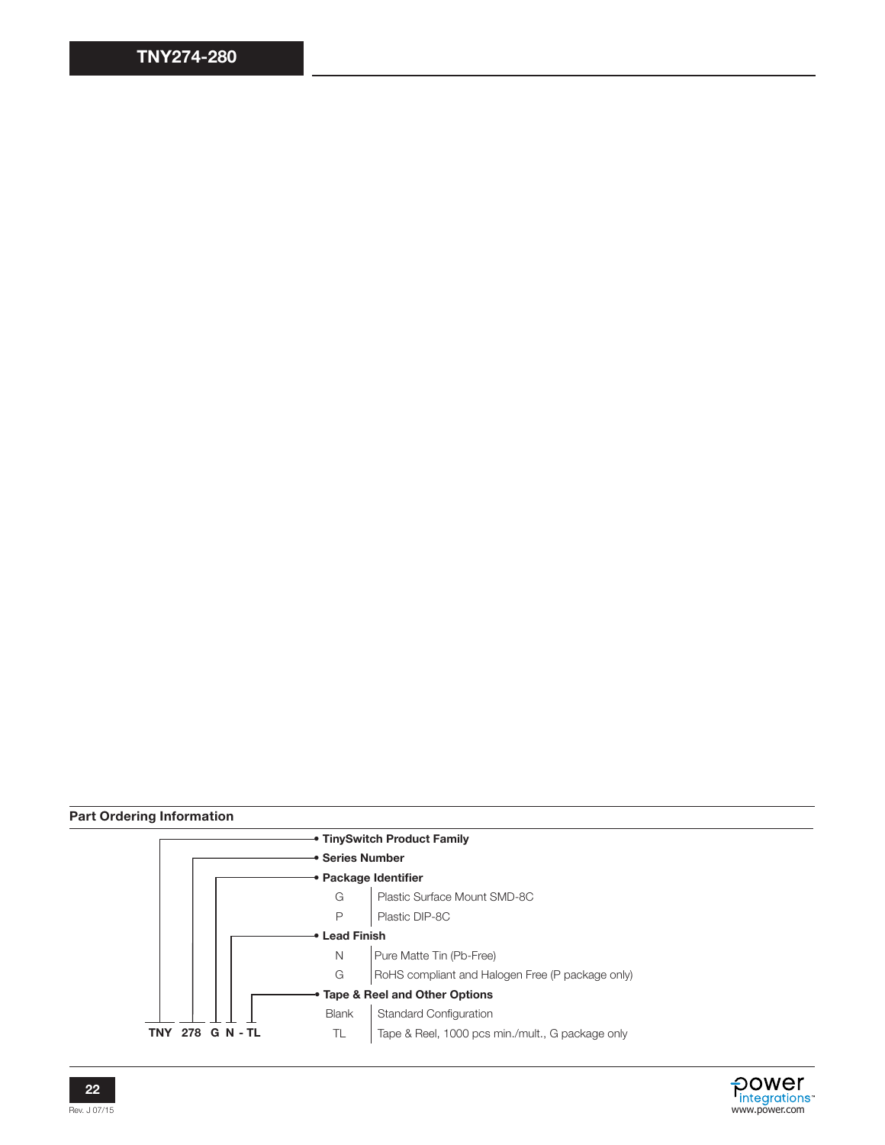# Part Ordering Information





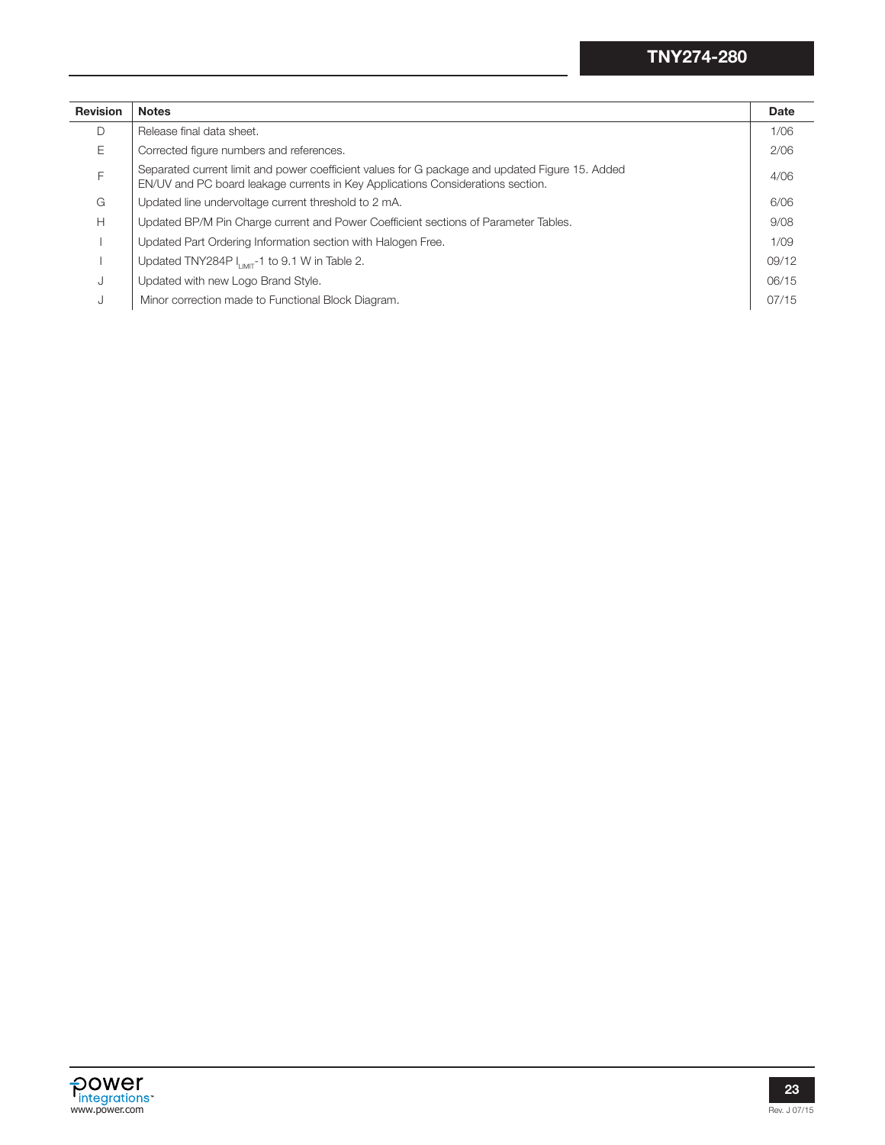| <b>Revision</b> | <b>Notes</b>                                                                                                                                                                       | <b>Date</b> |
|-----------------|------------------------------------------------------------------------------------------------------------------------------------------------------------------------------------|-------------|
| D               | Release final data sheet.                                                                                                                                                          | 1/06        |
| E               | Corrected figure numbers and references.                                                                                                                                           | 2/06        |
| F               | Separated current limit and power coefficient values for G package and updated Figure 15. Added<br>EN/UV and PC board leakage currents in Key Applications Considerations section. | 4/06        |
| G               | Updated line undervoltage current threshold to 2 mA.                                                                                                                               | 6/06        |
| H               | Updated BP/M Pin Charge current and Power Coefficient sections of Parameter Tables.                                                                                                | 9/08        |
|                 | Updated Part Ordering Information section with Halogen Free.                                                                                                                       | 1/09        |
|                 | Updated TNY284P $I_{\text{IMIT}}$ -1 to 9.1 W in Table 2.                                                                                                                          | 09/12       |
| J               | Updated with new Logo Brand Style.                                                                                                                                                 | 06/15       |
| J               | Minor correction made to Functional Block Diagram.                                                                                                                                 | 07/15       |